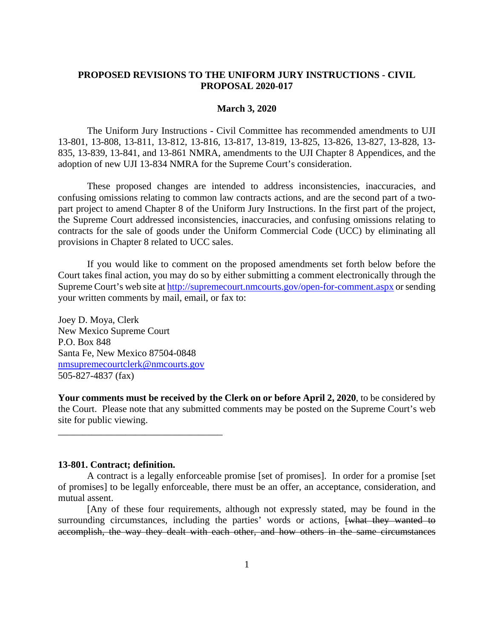# **PROPOSED REVISIONS TO THE UNIFORM JURY INSTRUCTIONS - CIVIL PROPOSAL 2020-017**

#### **March 3, 2020**

 The Uniform Jury Instructions - Civil Committee has recommended amendments to UJI 13-801, 13-808, 13-811, 13-812, 13-816, 13-817, 13-819, 13-825, 13-826, 13-827, 13-828, 13- 835, 13-839, 13-841, and 13-861 NMRA, amendments to the UJI Chapter 8 Appendices, and the adoption of new UJI 13-834 NMRA for the Supreme Court's consideration.

 These proposed changes are intended to address inconsistencies, inaccuracies, and confusing omissions relating to common law contracts actions, and are the second part of a twopart project to amend Chapter 8 of the Uniform Jury Instructions. In the first part of the project, the Supreme Court addressed inconsistencies, inaccuracies, and confusing omissions relating to contracts for the sale of goods under the Uniform Commercial Code (UCC) by eliminating all provisions in Chapter 8 related to UCC sales.

 If you would like to comment on the proposed amendments set forth below before the Court takes final action, you may do so by either submitting a comment electronically through the Supreme Court's web site at http://supremecourt.nmcourts.gov/open-for-comment.aspx or sending your written comments by mail, email, or fax to:

Joey D. Moya, Clerk New Mexico Supreme Court P.O. Box 848 Santa Fe, New Mexico 87504-0848 nmsupremecourtclerk@nmcourts.gov 505-827-4837 (fax)

\_\_\_\_\_\_\_\_\_\_\_\_\_\_\_\_\_\_\_\_\_\_\_\_\_\_\_\_\_\_\_\_\_\_

**Your comments must be received by the Clerk on or before April 2, 2020**, to be considered by the Court. Please note that any submitted comments may be posted on the Supreme Court's web site for public viewing.

#### **13-801. Contract; definition.**

A contract is a legally enforceable promise [set of promises]. In order for a promise [set of promises] to be legally enforceable, there must be an offer, an acceptance, consideration, and mutual assent.

[Any of these four requirements, although not expressly stated, may be found in the surrounding circumstances, including the parties' words or actions, [what they wanted to accomplish, the way they dealt with each other, and how others in the same circumstances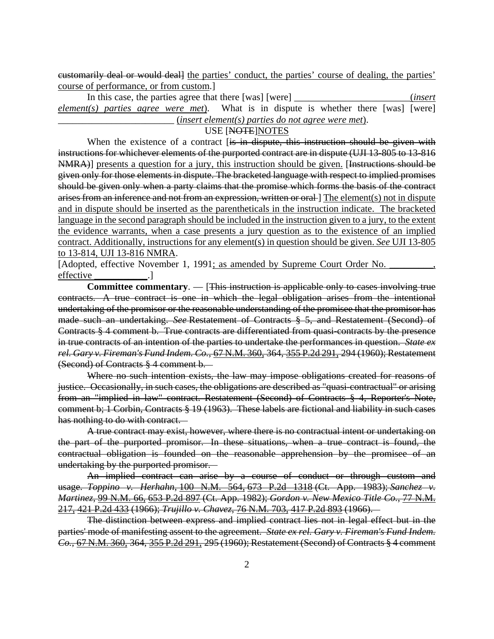customarily deal or would deal] the parties' conduct, the parties' course of dealing, the parties' course of performance, or from custom.]

In this case, the parties agree that there [was] [were] \_\_\_\_\_\_\_\_\_\_\_\_\_\_\_\_\_\_\_\_\_\_(*insert element(s) parties agree were met*). What is in dispute is whether there [was] [were] \_\_\_\_\_\_\_\_\_\_\_\_\_\_\_\_\_\_\_\_\_\_\_\_ (*insert element(s) parties do not agree were met*).

#### USE [NOTE]NOTES

When the existence of a contract [is in dispute, this instruction should be given with instructions for whichever elements of the purported contract are in dispute (UJI 13-805 to 13-816 NMRA)] presents a question for a jury, this instruction should be given. [Instructions should be given only for those elements in dispute. The bracketed language with respect to implied promises should be given only when a party claims that the promise which forms the basis of the contract arises from an inference and not from an expression, written or oral- The element(s) not in dispute and in dispute should be inserted as the parentheticals in the instruction indicate. The bracketed language in the second paragraph should be included in the instruction given to a jury, to the extent the evidence warrants, when a case presents a jury question as to the existence of an implied contract. Additionally, instructions for any element(s) in question should be given. *See* UJI 13-805 to 13-814, UJI 13-816 NMRA.

[Adopted, effective November 1, 1991; as amended by Supreme Court Order No. effective

 **Committee commentary**. — [This instruction is applicable only to cases involving true contracts. A true contract is one in which the legal obligation arises from the intentional undertaking of the promisor or the reasonable understanding of the promisee that the promisor has made such an undertaking. *See* Restatement of Contracts § 5, and Restatement (Second) of Contracts § 4 comment b. True contracts are differentiated from quasi-contracts by the presence in true contracts of an intention of the parties to undertake the performances in question. *State ex rel. Gary v. Fireman's Fund Indem. Co.*, 67 N.M. 360, 364, 355 P.2d 291, 294 (1960); Restatement (Second) of Contracts § 4 comment b.

Where no such intention exists, the law may impose obligations created for reasons of justice. Occasionally, in such cases, the obligations are described as "quasi-contractual" or arising from an "implied in law" contract. Restatement (Second) of Contracts § 4, Reporter's Note, comment b; 1 Corbin, Contracts § 19 (1963). These labels are fictional and liability in such cases has nothing to do with contract.

A true contract may exist, however, where there is no contractual intent or undertaking on the part of the purported promisor. In these situations, when a true contract is found, the contractual obligation is founded on the reasonable apprehension by the promisee of an undertaking by the purported promisor.

An implied contract can arise by a course of conduct or through custom and usage. *Toppino v. Herhahn*, 100 N.M. 564, 673 P.2d 1318 (Ct. App. 1983); *Sanchez v. Martinez*, 99 N.M. 66, 653 P.2d 897 (Ct. App. 1982); *Gordon v. New Mexico Title Co.*, 77 N.M. 217, 421 P.2d 433 (1966); *Trujillo v. Chavez*, 76 N.M. 703, 417 P.2d 893 (1966).

The distinction between express and implied contract lies not in legal effect but in the parties' mode of manifesting assent to the agreement. *State ex rel. Gary v. Fireman's Fund Indem. Co.*, 67 N.M. 360, 364, 355 P.2d 291, 295 (1960); Restatement (Second) of Contracts § 4 comment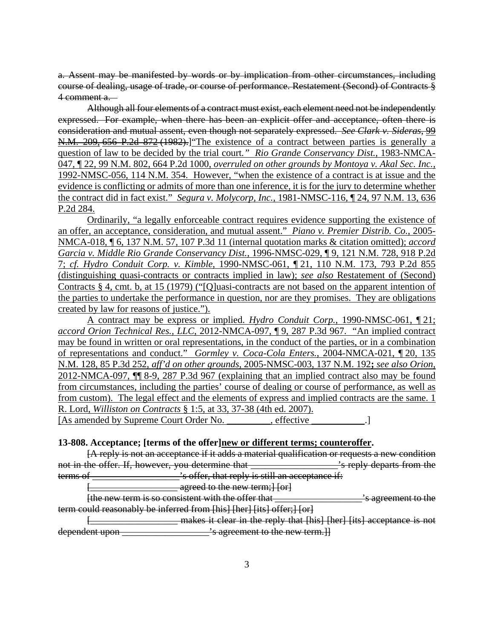a. Assent may be manifested by words or by implication from other circumstances, including course of dealing, usage of trade, or course of performance. Restatement (Second) of Contracts § 4 comment a.

Although all four elements of a contract must exist, each element need not be independently expressed. For example, when there has been an explicit offer and acceptance, often there is consideration and mutual assent, even though not separately expressed. *See Clark v. Sideras*, 99 N.M. 209, 656 P.2d 872 (1982).]"The existence of a contract between parties is generally a question of law to be decided by the trial court*." Rio Grande Conservancy Dist.*, 1983-NMCA-047, ¶ 22, 99 N.M. 802, 664 P.2d 1000, *overruled on other grounds by Montoya v. Akal Sec. Inc.*, 1992-NMSC-056, 114 N.M. 354. However, "when the existence of a contract is at issue and the evidence is conflicting or admits of more than one inference, it is for the jury to determine whether the contract did in fact exist." *Segura v. Molycorp, Inc.*, 1981-NMSC-116, ¶ 24, 97 N.M. 13, 636 P.2d 284.

 Ordinarily, "a legally enforceable contract requires evidence supporting the existence of an offer, an acceptance, consideration, and mutual assent." *Piano v. Premier Distrib. Co.*, 2005- NMCA-018, ¶ 6, 137 N.M. 57, 107 P.3d 11 (internal quotation marks & citation omitted); *accord Garcia v. Middle Rio Grande Conservancy Dist.*, 1996-NMSC-029, ¶ 9, 121 N.M. 728, 918 P.2d 7; *cf. Hydro Conduit Corp. v. Kimble*, 1990-NMSC-061, ¶ 21, 110 N.M. 173, 793 P.2d 855 (distinguishing quasi-contracts or contracts implied in law); *see also* Restatement of (Second) Contracts § 4, cmt. b, at 15 (1979) ("[Q]uasi-contracts are not based on the apparent intention of the parties to undertake the performance in question, nor are they promises. They are obligations created by law for reasons of justice.").

 A contract may be express or implied. *Hydro Conduit Corp.*, 1990-NMSC-061, ¶ 21; *accord Orion Technical Res., LLC*, 2012-NMCA-097, ¶ 9, 287 P.3d 967. "An implied contract may be found in written or oral representations, in the conduct of the parties, or in a combination of representations and conduct." *Gormley v. Coca-Cola Enters.*, 2004-NMCA-021, ¶ 20, 135 N.M. 128, 85 P.3d 252, *aff'd on other grounds*, 2005-NMSC-003, 137 N.M. 192**;** *see also Orion*, 2012-NMCA-097, ¶¶ 8-9, 287 P.3d 967 (explaining that an implied contract also may be found from circumstances, including the parties' course of dealing or course of performance, as well as from custom). The legal effect and the elements of express and implied contracts are the same. 1 R. Lord, *Williston on Contracts* § 1:5, at 33, 37-38 (4th ed. 2007). [As amended by Supreme Court Order No. \_\_\_\_\_\_\_\_, effective \_\_\_\_\_\_\_\_\_.]

# **13-808. Acceptance; [terms of the offer]new or different terms; counteroffer.**

[A reply is not an acceptance if it adds a material qualification or requests a new condition not in the offer. If, however, you determine that \_\_\_\_\_\_\_\_\_\_\_\_\_\_\_\_\_\_'s reply departs from the terms of \_\_\_\_\_\_\_\_\_\_\_\_\_\_\_\_\_\_\_\_\_'s offer, that reply is still an acceptance if:

agreed to the new term; [ [or]

[the new term is so consistent with the offer that \_\_\_\_\_\_\_\_\_\_\_\_\_\_\_\_\_\_\_\_\_'s agreement to the term could reasonably be inferred from [his] [her] [its] offer;] [or]

[\_\_\_\_\_\_\_\_\_\_\_\_\_\_\_\_\_\_ makes it clear in the reply that [his] [her] [its] acceptance is not dependent upon \_\_\_\_\_\_\_\_\_\_\_\_\_\_\_\_\_\_\_\_\_'s agreement to the new term.}}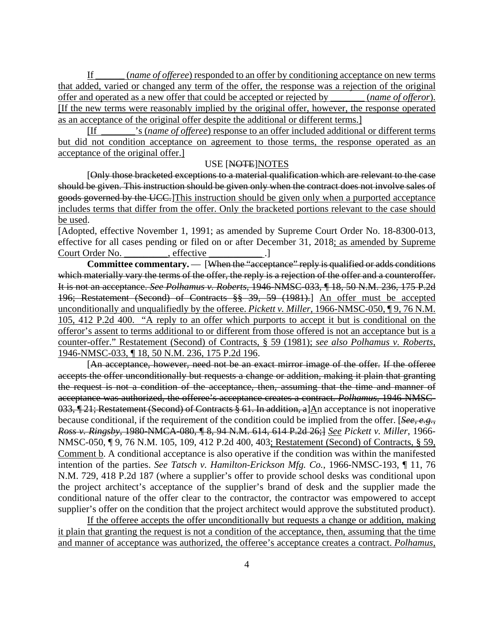If \_\_\_\_\_\_ (*name of offeree*) responded to an offer by conditioning acceptance on new terms that added, varied or changed any term of the offer, the response was a rejection of the original offer and operated as a new offer that could be accepted or rejected by \_\_\_\_\_\_\_ (*name of offeror*). [If the new terms were reasonably implied by the original offer, however, the response operated as an acceptance of the original offer despite the additional or different terms.]

[If \_\_\_\_\_\_\_'s (*name of offeree*) response to an offer included additional or different terms but did not condition acceptance on agreement to those terms, the response operated as an acceptance of the original offer.]

#### USE [NOTE]NOTES

[Only those bracketed exceptions to a material qualification which are relevant to the case should be given. This instruction should be given only when the contract does not involve sales of goods governed by the UCC.]This instruction should be given only when a purported acceptance includes terms that differ from the offer. Only the bracketed portions relevant to the case should be used.

[Adopted, effective November 1, 1991; as amended by Supreme Court Order No. 18-8300-013, effective for all cases pending or filed on or after December 31, 2018; as amended by Supreme Court Order No. \_\_\_\_\_\_\_\_, effective \_\_\_\_\_\_\_\_\_\_\_\_.

**Committee commentary.** — [When the "acceptance" reply is qualified or adds conditions which materially vary the terms of the offer, the reply is a rejection of the offer and a counteroffer. It is not an acceptance. *See Polhamus v. Roberts*, 1946-NMSC-033, ¶ 18, 50 N.M. 236, 175 P.2d 196; Restatement (Second) of Contracts §§ 39, 59 (1981).] An offer must be accepted unconditionally and unqualifiedly by the offeree. *Pickett v. Miller*, 1966-NMSC-050, ¶ 9, 76 N.M. 105, 412 P.2d 400. "A reply to an offer which purports to accept it but is conditional on the offeror's assent to terms additional to or different from those offered is not an acceptance but is a counter-offer." Restatement (Second) of Contracts, § 59 (1981); *see also Polhamus v. Roberts*, 1946-NMSC-033, ¶ 18, 50 N.M. 236, 175 P.2d 196.

[An acceptance, however, need not be an exact mirror image of the offer. If the offeree accepts the offer unconditionally but requests a change or addition, making it plain that granting the request is not a condition of the acceptance, then, assuming that the time and manner of acceptance was authorized, the offeree's acceptance creates a contract. *Polhamus*, 1946-NMSC-033, ¶ 21; Restatement (Second) of Contracts § 61. In addition, a]An acceptance is not inoperative because conditional, if the requirement of the condition could be implied from the offer. [*See, e.g.*, *Ross v. Ringsby*, 1980-NMCA-080, ¶ 8, 94 N.M. 614, 614 P.2d 26;] *See Pickett v. Miller*, 1966- NMSC-050, ¶ 9, 76 N.M. 105, 109, 412 P.2d 400, 403; Restatement (Second) of Contracts, § 59, Comment b. A conditional acceptance is also operative if the condition was within the manifested intention of the parties. *See Tatsch v. Hamilton-Erickson Mfg. Co.*, 1966-NMSC-193, ¶ 11, 76 N.M. 729, 418 P.2d 187 (where a supplier's offer to provide school desks was conditional upon the project architect's acceptance of the supplier's brand of desk and the supplier made the conditional nature of the offer clear to the contractor, the contractor was empowered to accept supplier's offer on the condition that the project architect would approve the substituted product).

If the offeree accepts the offer unconditionally but requests a change or addition, making it plain that granting the request is not a condition of the acceptance, then, assuming that the time and manner of acceptance was authorized, the offeree's acceptance creates a contract. *Polhamus*,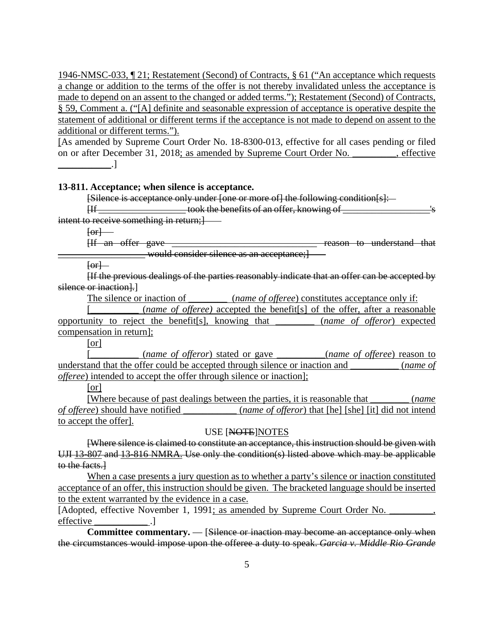1946-NMSC-033, ¶ 21; Restatement (Second) of Contracts, § 61 ("An acceptance which requests a change or addition to the terms of the offer is not thereby invalidated unless the acceptance is made to depend on an assent to the changed or added terms."); Restatement (Second) of Contracts, § 59, Comment a. ("[A] definite and seasonable expression of acceptance is operative despite the statement of additional or different terms if the acceptance is not made to depend on assent to the additional or different terms.").

[As amended by Supreme Court Order No. 18-8300-013, effective for all cases pending or filed on or after December 31, 2018; as amended by Supreme Court Order No. \_\_\_\_\_\_\_\_, effective  $\Box$ 

#### **13-811. Acceptance; when silence is acceptance.**

[Silence is acceptance only under [one or more of] the following condition[s]:

 $\Box$ intent to receive something in return; ]

 $[or]$ 

[If an offer gave \_\_\_\_\_\_\_\_\_\_\_\_\_\_\_\_\_\_\_\_\_\_\_\_\_\_\_\_\_\_ reason to understand that

would consider silence as an acceptance;

 $[or]$ 

[If the previous dealings of the parties reasonably indicate that an offer can be accepted by silence or inaction.

The silence or inaction of \_\_\_\_\_\_\_\_ (*name of offeree*) constitutes acceptance only if:

[\_\_\_\_\_\_\_\_\_\_ (*name of offeree)* accepted the benefit[s] of the offer, after a reasonable opportunity to reject the benefit[s], knowing that \_\_\_\_\_\_\_\_ (*name of offeror*) expected compensation in return];

[or]

[\_\_\_\_\_\_\_\_\_\_ (*name of offeror*) stated or gave \_\_\_\_\_\_\_\_\_\_(*name of offeree*) reason to understand that the offer could be accepted through silence or inaction and \_\_\_\_\_\_\_\_\_\_ (*name of offeree*) intended to accept the offer through silence or inaction];

[or]

[Where because of past dealings between the parties, it is reasonable that \_\_\_\_\_\_\_\_ (*name of offeree*) should have notified (*name of offeror*) that [he] [she] [it] did not intend to accept the offer].

#### USE [NOTE]NOTES

[Where silence is claimed to constitute an acceptance, this instruction should be given with UJI 13-807 and 13-816 NMRA. Use only the condition(s) listed above which may be applicable to the facts.]

When a case presents a jury question as to whether a party's silence or inaction constituted acceptance of an offer, this instruction should be given. The bracketed language should be inserted to the extent warranted by the evidence in a case.

[Adopted, effective November 1, 1991; as amended by Supreme Court Order No. \_\_\_\_\_\_\_\_, effective

Committee commentary. — [Silence or inaction may become an acceptance only when the circumstances would impose upon the offeree a duty to speak. *Garcia v. Middle Rio Grande*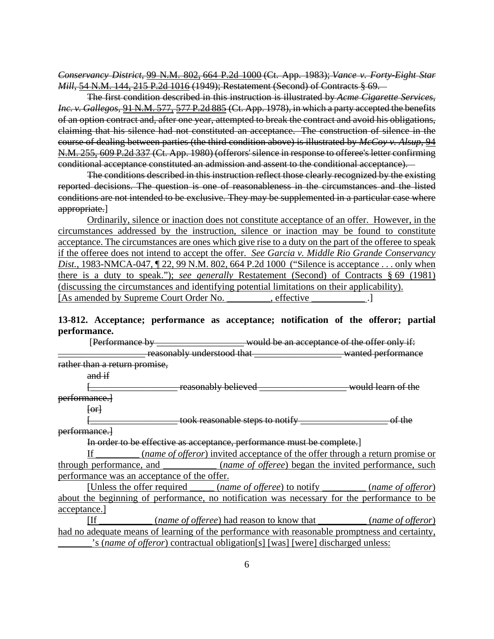*Conservancy District*, 99 N.M. 802, 664 P.2d 1000 (Ct. App. 1983); *Vance v. Forty-Eight Star Mill*, 54 N.M. 144, 215 P.2d 1016 (1949); Restatement (Second) of Contracts § 69.

The first condition described in this instruction is illustrated by *Acme Cigarette Services, Inc. v. Gallegos*, 91 N.M. 577, 577 P.2d 885 (Ct. App. 1978), in which a party accepted the benefits of an option contract and, after one year, attempted to break the contract and avoid his obligations, claiming that his silence had not constituted an acceptance. The construction of silence in the course of dealing between parties (the third condition above) is illustrated by *McCoy v. Alsup*, 94 N.M. 255, 609 P.2d 337 (Ct. App. 1980) (offerors' silence in response to offeree's letter confirming conditional acceptance constituted an admission and assent to the conditional acceptance).

The conditions described in this instruction reflect those clearly recognized by the existing reported decisions. The question is one of reasonableness in the circumstances and the listed conditions are not intended to be exclusive. They may be supplemented in a particular case where appropriate.]

Ordinarily, silence or inaction does not constitute acceptance of an offer. However, in the circumstances addressed by the instruction, silence or inaction may be found to constitute acceptance. The circumstances are ones which give rise to a duty on the part of the offeree to speak if the offeree does not intend to accept the offer. *See Garcia v. Middle Rio Grande Conservancy Dist.*, 1983-NMCA-047, ¶ 22, 99 N.M. 802, 664 P.2d 1000 ("Silence is acceptance . . . only when there is a duty to speak."); *see generally* Restatement (Second) of Contracts § 69 (1981) (discussing the circumstances and identifying potential limitations on their applicability). [As amended by Supreme Court Order No.  $\qquad \qquad$  .]

# **13-812. Acceptance; performance as acceptance; notification of the offeror; partial performance.**

[Performance by \_\_\_\_\_\_\_\_\_\_\_\_\_\_\_\_\_\_\_\_\_\_ would be an acceptance of the offer only if: \_\_\_\_\_\_\_\_\_\_\_\_\_\_\_\_\_\_ reasonably understood that \_\_\_\_\_\_\_\_\_\_\_\_\_\_\_\_\_\_ wanted performance rather than a return promise, and if **Example 1** reasonably believed **the vector of the set of the set of the set of the** performance.]

 $[or]$ 

 $\_$  took reasonable steps to notify  $\_\_\_\_\_\_\_\_\_\_\_\_\_\_\_\_$  of the performance.]

In order to be effective as acceptance, performance must be complete.]

If \_\_\_\_\_\_\_\_\_ (*name of offeror*) invited acceptance of the offer through a return promise or through performance, and \_\_\_\_\_\_\_\_\_\_\_ (*name of offeree*) began the invited performance, such performance was an acceptance of the offer.

[Unless the offer required \_\_\_\_\_ (*name of offeree*) to notify \_\_\_\_\_\_\_\_\_ (*name of offeror*) about the beginning of performance, no notification was necessary for the performance to be acceptance.]

[If \_\_\_\_\_\_\_\_\_\_\_ (*name of offeree*) had reason to know that \_\_\_\_\_\_\_\_\_\_ (*name of offeror*) had no adequate means of learning of the performance with reasonable promptness and certainty, \_\_\_\_\_\_\_'s (*name of offeror*) contractual obligation[s] [was] [were] discharged unless: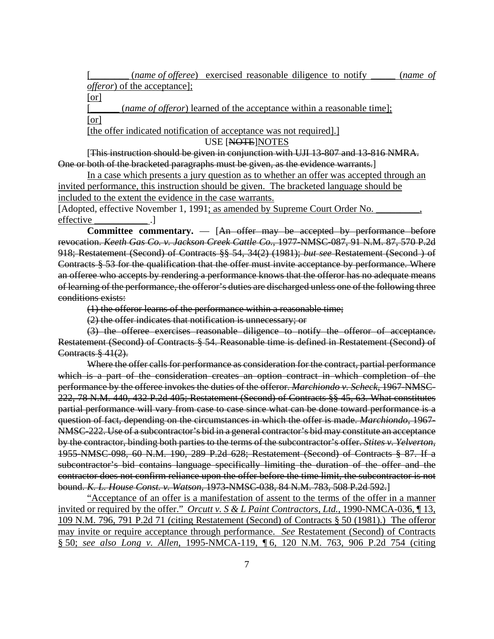(*name of offeree*) exercised reasonable diligence to notify \_\_\_\_\_ (*name of offeror*) of the acceptance];

[or]

(*name of offeror*) learned of the acceptance within a reasonable time]; [or]

[the offer indicated notification of acceptance was not required].]

USE [NOTE]NOTES

 [This instruction should be given in conjunction with UJI 13-807 and 13-816 NMRA. One or both of the bracketed paragraphs must be given, as the evidence warrants.]

In a case which presents a jury question as to whether an offer was accepted through an invited performance, this instruction should be given. The bracketed language should be included to the extent the evidence in the case warrants.

[Adopted, effective November 1, 1991; as amended by Supreme Court Order No. effective .

**Committee commentary.** — [An offer may be accepted by performance before revocation. *Keeth Gas Co. v. Jackson Creek Cattle Co.*, 1977-NMSC-087, 91 N.M. 87, 570 P.2d 918; Restatement (Second) of Contracts §§ 54, 34(2) (1981); *but see* Restatement (Second ) of Contracts § 53 for the qualification that the offer must invite acceptance by performance. Where an offeree who accepts by rendering a performance knows that the offeror has no adequate means of learning of the performance, the offeror's duties are discharged unless one of the following three conditions exists:

(1) the offeror learns of the performance within a reasonable time;

(2) the offer indicates that notification is unnecessary; or

(3) the offeree exercises reasonable diligence to notify the offeror of acceptance. Restatement (Second) of Contracts § 54. Reasonable time is defined in Restatement (Second) of Contracts § 41(2).

Where the offer calls for performance as consideration for the contract, partial performance which is a part of the consideration creates an option contract in which completion of the performance by the offeree invokes the duties of the offeror. *Marchiondo v. Scheck*, 1967-NMSC-222, 78 N.M. 440, 432 P.2d 405; Restatement (Second) of Contracts §§ 45, 63. What constitutes partial performance will vary from case to case since what can be done toward performance is a question of fact, depending on the circumstances in which the offer is made. *Marchiondo*, 1967- NMSC-222. Use of a subcontractor's bid in a general contractor's bid may constitute an acceptance by the contractor, binding both parties to the terms of the subcontractor's offer. *Stites v. Yelverton*, 1955-NMSC-098, 60 N.M. 190, 289 P.2d 628; Restatement (Second) of Contracts § 87. If a subcontractor's bid contains language specifically limiting the duration of the offer and the contractor does not confirm reliance upon the offer before the time limit, the subcontractor is not bound. *K. L. House Const. v. Watson*, 1973-NMSC-038, 84 N.M. 783, 508 P.2d 592.]

"Acceptance of an offer is a manifestation of assent to the terms of the offer in a manner invited or required by the offer." *Orcutt v. S & L Paint Contractors, Ltd.*, 1990-NMCA-036, ¶ 13, 109 N.M. 796, 791 P.2d 71 (citing Restatement (Second) of Contracts § 50 (1981).) The offeror may invite or require acceptance through performance. *See* Restatement (Second) of Contracts § 50; *see also Long v. Allen*, 1995-NMCA-119, ¶ 6, 120 N.M. 763, 906 P.2d 754 (citing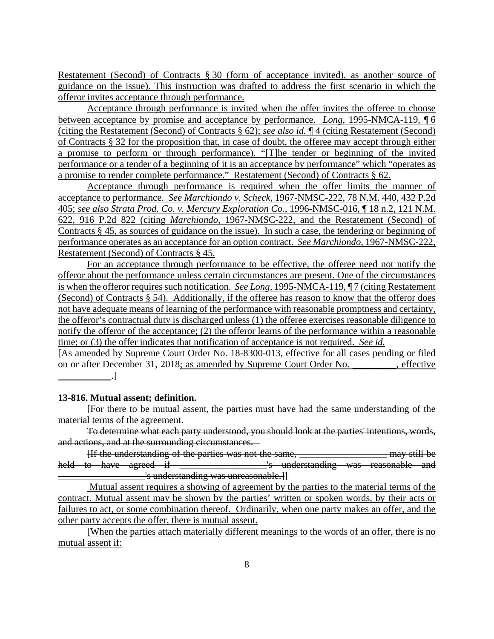Restatement (Second) of Contracts § 30 (form of acceptance invited), as another source of guidance on the issue). This instruction was drafted to address the first scenario in which the offeror invites acceptance through performance.

Acceptance through performance is invited when the offer invites the offeree to choose between acceptance by promise and acceptance by performance. *Long*, 1995-NMCA-119, ¶ 6 (citing the Restatement (Second) of Contracts § 62); *see also id.* ¶ 4 (citing Restatement (Second) of Contracts § 32 for the proposition that, in case of doubt, the offeree may accept through either a promise to perform or through performance). "[T]he tender or beginning of the invited performance or a tender of a beginning of it is an acceptance by performance" which "operates as a promise to render complete performance." Restatement (Second) of Contracts § 62.

Acceptance through performance is required when the offer limits the manner of acceptance to performance. *See Marchiondo v. Scheck*, 1967-NMSC-222, 78 N.M. 440, 432 P.2d 405; *see also Strata Prod. Co. v. Mercury Exploration Co.*, 1996-NMSC-016, ¶ 18 n.2, 121 N.M. 622, 916 P.2d 822 (citing *Marchiondo*, 1967-NMSC-222, and the Restatement (Second) of Contracts § 45, as sources of guidance on the issue). In such a case, the tendering or beginning of performance operates as an acceptance for an option contract. *See Marchiondo*, 1967-NMSC-222, Restatement (Second) of Contracts § 45.

For an acceptance through performance to be effective, the offeree need not notify the offeror about the performance unless certain circumstances are present. One of the circumstances is when the offeror requires such notification. *See Long*, 1995-NMCA-119,  $\P$ 7 (citing Restatement (Second) of Contracts § 54). Additionally, if the offeree has reason to know that the offeror does not have adequate means of learning of the performance with reasonable promptness and certainty, the offeror's contractual duty is discharged unless (1) the offeree exercises reasonable diligence to notify the offeror of the acceptance; (2) the offeror learns of the performance within a reasonable time; or (3) the offer indicates that notification of acceptance is not required. *See id.*

[As amended by Supreme Court Order No. 18-8300-013, effective for all cases pending or filed on or after December 31, 2018; as amended by Supreme Court Order No. \_\_\_\_\_\_\_\_\_, effective  $\Box$ 

#### **13-816. Mutual assent; definition.**

[For there to be mutual assent, the parties must have had the same understanding of the material terms of the agreement.

To determine what each party understood, you should look at the parties' intentions, words, and actions, and at the surrounding circumstances.

[If the understanding of the parties was not the same, \_\_\_\_\_\_\_\_\_\_\_\_\_\_\_\_\_\_ may still be held to have agreed if \_\_\_\_\_\_\_\_\_\_\_\_\_\_\_\_\_\_'s understanding was reasonable and s understanding was unreasonable.]

 Mutual assent requires a showing of agreement by the parties to the material terms of the contract. Mutual assent may be shown by the parties' written or spoken words, by their acts or failures to act, or some combination thereof. Ordinarily, when one party makes an offer, and the other party accepts the offer, there is mutual assent.

[When the parties attach materially different meanings to the words of an offer, there is no mutual assent if: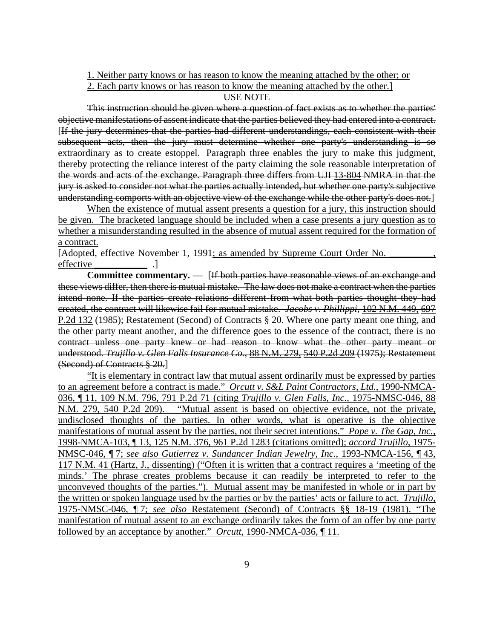- 1. Neither party knows or has reason to know the meaning attached by the other; or
- 2. Each party knows or has reason to know the meaning attached by the other.]

### USE NOTE

This instruction should be given where a question of fact exists as to whether the parties' objective manifestations of assent indicate that the parties believed they had entered into a contract. [If the jury determines that the parties had different understandings, each consistent with their subsequent acts, then the jury must determine whether one party's understanding is so extraordinary as to create estoppel. Paragraph three enables the jury to make this judgment, thereby protecting the reliance interest of the party claiming the sole reasonable interpretation of the words and acts of the exchange. Paragraph three differs from UJI 13-804 NMRA in that the jury is asked to consider not what the parties actually intended, but whether one party's subjective understanding comports with an objective view of the exchange while the other party's does not.]

When the existence of mutual assent presents a question for a jury, this instruction should be given. The bracketed language should be included when a case presents a jury question as to whether a misunderstanding resulted in the absence of mutual assent required for the formation of a contract.

[Adopted, effective November 1, 1991; as amended by Supreme Court Order No. effective .]

**Committee commentary.** — [If both parties have reasonable views of an exchange and these views differ, then there is mutual mistake. The law does not make a contract when the parties intend none. If the parties create relations different from what both parties thought they had created, the contract will likewise fail for mutual mistake. *Jacobs v. Phillippi*, 102 N.M. 449, 697 P.2d 132 (1985); Restatement (Second) of Contracts § 20. Where one party meant one thing, and the other party meant another, and the difference goes to the essence of the contract, there is no contract unless one party knew or had reason to know what the other party meant or understood. *Trujillo v. Glen Falls Insurance Co.*, 88 N.M. 279, 540 P.2d 209 (1975); Restatement (Second) of Contracts § 20.]

"It is elementary in contract law that mutual assent ordinarily must be expressed by parties to an agreement before a contract is made." *Orcutt v. S&L Paint Contractors, Ltd.*, 1990-NMCA-036, ¶ 11, 109 N.M. 796, 791 P.2d 71 (citing *Trujillo v. Glen Falls, Inc.*, 1975-NMSC-046, 88 N.M. 279, 540 P.2d 209). "Mutual assent is based on objective evidence, not the private, undisclosed thoughts of the parties. In other words, what is operative is the objective manifestations of mutual assent by the parties, not their secret intentions." *Pope v. The Gap, Inc.*, 1998-NMCA-103, ¶ 13, 125 N.M. 376, 961 P.2d 1283 (citations omitted); *accord Trujillo*, 1975- NMSC-046, ¶ 7; *see also Gutierrez v. Sundancer Indian Jewelry, Inc.*, 1993-NMCA-156, ¶ 43, 117 N.M. 41 (Hartz, J., dissenting) ("Often it is written that a contract requires a 'meeting of the minds.' The phrase creates problems because it can readily be interpreted to refer to the unconveyed thoughts of the parties."). Mutual assent may be manifested in whole or in part by the written or spoken language used by the parties or by the parties' acts or failure to act. *Trujillo*, 1975-NMSC-046, ¶ 7; *see also* Restatement (Second) of Contracts §§ 18-19 (1981). "The manifestation of mutual assent to an exchange ordinarily takes the form of an offer by one party followed by an acceptance by another." *Orcutt*, 1990-NMCA-036, ¶ 11.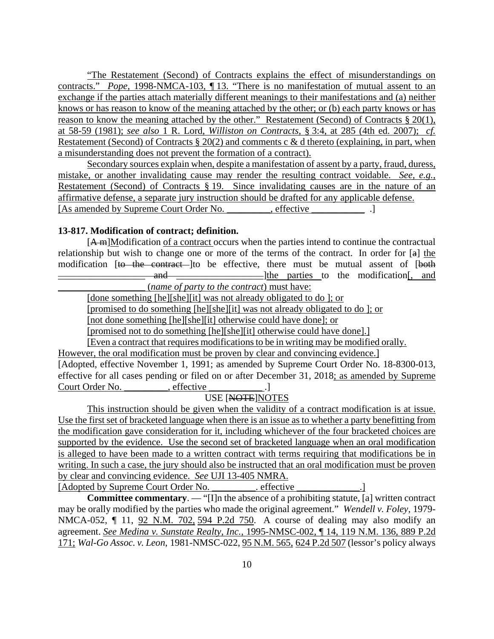"The Restatement (Second) of Contracts explains the effect of misunderstandings on contracts." *Pope*, 1998-NMCA-103, ¶ 13. "There is no manifestation of mutual assent to an exchange if the parties attach materially different meanings to their manifestations and (a) neither knows or has reason to know of the meaning attached by the other; or (b) each party knows or has reason to know the meaning attached by the other." Restatement (Second) of Contracts § 20(1), at 58-59 (1981); *see also* 1 R. Lord, *Williston on Contracts*, § 3:4, at 285 (4th ed. 2007); *cf.* Restatement (Second) of Contracts  $\S 20(2)$  and comments c & d thereto (explaining, in part, when a misunderstanding does not prevent the formation of a contract).

Secondary sources explain when, despite a manifestation of assent by a party, fraud, duress, mistake, or another invalidating cause may render the resulting contract voidable. *See, e.g.*, Restatement (Second) of Contracts § 19. Since invalidating causes are in the nature of an affirmative defense, a separate jury instruction should be drafted for any applicable defense. [As amended by Supreme Court Order No. \_\_\_\_\_\_\_\_, effective \_\_\_\_\_\_\_\_\_\_\_\_\_\_.]

# **13-817. Modification of contract; definition.**

[A m]Modification of a contract occurs when the parties intend to continue the contractual relationship but wish to change one or more of the terms of the contract. In order for [a] the modification [to the contract ]to be effective, there must be mutual assent of [both and and and and and the parties to the modification and and  $\frac{1}{\sqrt{2}}$  and  $\frac{1}{\sqrt{2}}$  and  $\frac{1}{\sqrt{2}}$  and  $\frac{1}{\sqrt{2}}$  and  $\frac{1}{\sqrt{2}}$  and  $\frac{1}{\sqrt{2}}$  and  $\frac{1}{\sqrt{2}}$  and  $\frac{1}{\sqrt{2}}$  and  $\frac{1}{\sqrt{2}}$  and  $\frac{1}{\sqrt{$ 

\_\_\_\_\_\_\_\_\_\_\_\_\_\_\_\_\_\_ (*name of party to the contract*) must have:

[done something [he][she][it] was not already obligated to do ]; or

[promised to do something [he][she][it] was not already obligated to do ]; or

[not done something [he][she][it] otherwise could have done]; or

[promised not to do something [he][she][it] otherwise could have done].]

[Even a contract that requires modifications to be in writing may be modified orally.

However, the oral modification must be proven by clear and convincing evidence.]

[Adopted, effective November 1, 1991; as amended by Supreme Court Order No. 18-8300-013, effective for all cases pending or filed on or after December 31, 2018; as amended by Supreme Court Order No.  $\qquad \qquad$ , effective

# USE [NOTE]NOTES

This instruction should be given when the validity of a contract modification is at issue. Use the first set of bracketed language when there is an issue as to whether a party benefitting from the modification gave consideration for it, including whichever of the four bracketed choices are supported by the evidence. Use the second set of bracketed language when an oral modification is alleged to have been made to a written contract with terms requiring that modifications be in writing. In such a case, the jury should also be instructed that an oral modification must be proven by clear and convincing evidence. *See* UJI 13-405 NMRA. [Adopted by Supreme Court Order No. effective

**Committee commentary**. — "[I]n the absence of a prohibiting statute, [a] written contract may be orally modified by the parties who made the original agreement." *Wendell v. Foley*, 1979- NMCA-052, ¶ 11, 92 N.M. 702, 594 P.2d 750. A course of dealing may also modify an agreement. *See Medina v. Sunstate Realty, Inc.*, 1995-NMSC-002, ¶ 14, 119 N.M. 136, 889 P.2d 171; *Wal-Go Assoc. v. Leon*, 1981-NMSC-022, 95 N.M. 565, 624 P.2d 507 (lessor's policy always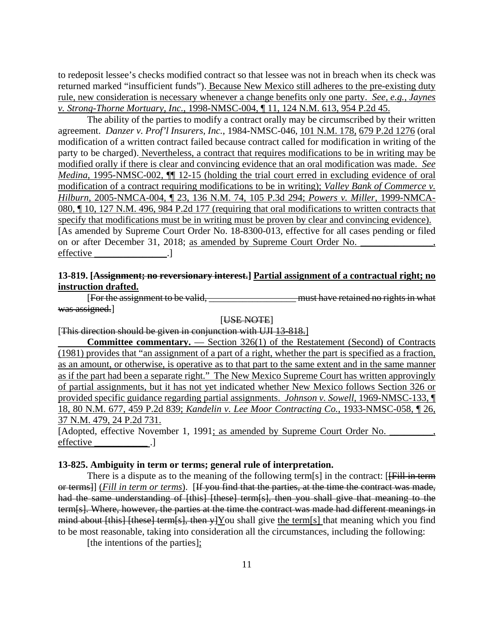to redeposit lessee's checks modified contract so that lessee was not in breach when its check was returned marked "insufficient funds"). Because New Mexico still adheres to the pre-existing duty rule, new consideration is necessary whenever a change benefits only one party. *See, e.g.*, *Jaynes v. Strong-Thorne Mortuary, Inc.*, 1998-NMSC-004, ¶ 11, 124 N.M. 613, 954 P.2d 45.

The ability of the parties to modify a contract orally may be circumscribed by their written agreement. *Danzer v. Prof'l Insurers, Inc.*, 1984-NMSC-046, 101 N.M. 178, 679 P.2d 1276 (oral modification of a written contract failed because contract called for modification in writing of the party to be charged). Nevertheless, a contract that requires modifications to be in writing may be modified orally if there is clear and convincing evidence that an oral modification was made. *See Medina*, 1995-NMSC-002,  $\P$  12-15 (holding the trial court erred in excluding evidence of oral modification of a contract requiring modifications to be in writing); *Valley Bank of Commerce v. Hilburn*, 2005-NMCA-004, ¶ 23, 136 N.M. 74, 105 P.3d 294; *Powers v. Miller*, 1999-NMCA-080, ¶ 10, 127 N.M. 496, 984 P.2d 177 (requiring that oral modifications to written contracts that specify that modifications must be in writing must be proven by clear and convincing evidence). [As amended by Supreme Court Order No. 18-8300-013, effective for all cases pending or filed on or after December 31, 2018; as amended by Supreme Court Order No. \_ effective \_\_\_\_\_\_\_\_\_\_\_\_\_\_\_.]

# **13-819. [Assignment; no reversionary interest.] Partial assignment of a contractual right; no instruction drafted.**

**EXAMPLE 2018**<br>[For the assignment to be valid, the contract of the must have retained no rights in what was assigned.]

[USE NOTE]

[This direction should be given in conjunction with UJI 13-818.]

| <b>Committee commentary.</b> $\rightarrow$ Section 326(1) of the Restatement (Second) of Contracts     |
|--------------------------------------------------------------------------------------------------------|
| (1981) provides that "an assignment of a part of a right, whether the part is specified as a fraction, |
| as an amount, or otherwise, is operative as to that part to the same extent and in the same manner     |
| as if the part had been a separate right." The New Mexico Supreme Court has written approvingly        |
| of partial assignments, but it has not yet indicated whether New Mexico follows Section 326 or         |
| provided specific guidance regarding partial assignments. <i>Johnson v. Sowell</i> , 1969-NMSC-133, ¶  |
| 18, 80 N.M. 677, 459 P.2d 839; Kandelin v. Lee Moor Contracting Co., 1933-NMSC-058, 1 26,              |
| 37 N.M. 479, 24 P.2d 731.                                                                              |
|                                                                                                        |

[Adopted, effective November 1, 1991; as amended by Supreme Court Order No. effective ...

#### **13-825. Ambiguity in term or terms; general rule of interpretation.**

There is a dispute as to the meaning of the following term[s] in the contract: [<del>[Fill in term</del>] or terms]] (*Fill in term or terms*). [If you find that the parties, at the time the contract was made, had the same understanding of [this] [these] term[s], then you shall give that meaning to the term[s]. Where, however, the parties at the time the contract was made had different meanings in mind about [this] [these] term[s], then y]You shall give the term[s] that meaning which you find to be most reasonable, taking into consideration all the circumstances, including the following:

[the intentions of the parties];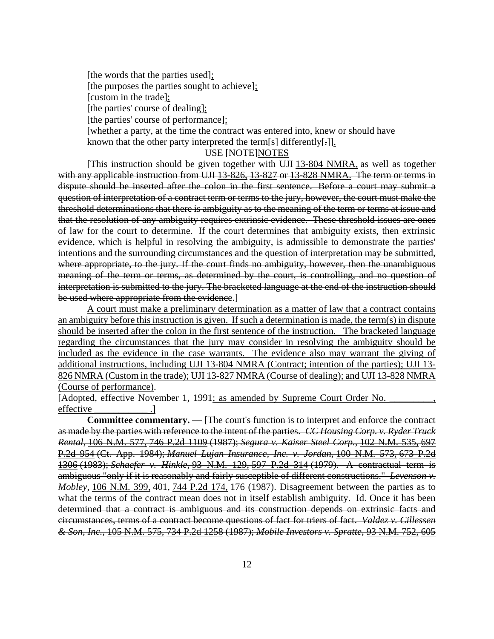[the words that the parties used]; [the purposes the parties sought to achieve]; [custom in the trade]; [the parties' course of dealing]; [the parties' course of performance]; [whether a party, at the time the contract was entered into, knew or should have known that the other party interpreted the term[s] differently[-]].

#### USE [NOTE]NOTES

[This instruction should be given together with UJI 13-804 NMRA, as well as together with any applicable instruction from UJI 13-826, 13-827 or 13-828 NMRA. The term or terms in dispute should be inserted after the colon in the first sentence. Before a court may submit a question of interpretation of a contract term or terms to the jury, however, the court must make the threshold determinations that there is ambiguity as to the meaning of the term or terms at issue and that the resolution of any ambiguity requires extrinsic evidence. These threshold issues are ones of law for the court to determine. If the court determines that ambiguity exists, then extrinsic evidence, which is helpful in resolving the ambiguity, is admissible to demonstrate the parties' intentions and the surrounding circumstances and the question of interpretation may be submitted, where appropriate, to the jury. If the court finds no ambiguity, however, then the unambiguous meaning of the term or terms, as determined by the court, is controlling, and no question of interpretation is submitted to the jury. The bracketed language at the end of the instruction should be used where appropriate from the evidence.

A court must make a preliminary determination as a matter of law that a contract contains an ambiguity before this instruction is given. If such a determination is made, the term(s) in dispute should be inserted after the colon in the first sentence of the instruction. The bracketed language regarding the circumstances that the jury may consider in resolving the ambiguity should be included as the evidence in the case warrants. The evidence also may warrant the giving of additional instructions, including UJI 13-804 NMRA (Contract; intention of the parties); UJI 13- 826 NMRA (Custom in the trade); UJI 13-827 NMRA (Course of dealing); and UJI 13-828 NMRA (Course of performance).

[Adopted, effective November 1, 1991; as amended by Supreme Court Order No. effective ...

**Committee commentary.** — [The court's function is to interpret and enforce the contract as made by the parties with reference to the intent of the parties. *CC Housing Corp. v. Ryder Truck Rental*, 106 N.M. 577, 746 P.2d 1109 (1987); *Segura v. Kaiser Steel Corp.*, 102 N.M. 535, 697 P.2d 954 (Ct. App. 1984); *Manuel Lujan Insurance, Inc. v. Jordan*, 100 N.M. 573, 673 P.2d 1306 (1983); *Schaefer v. Hinkle*, 93 N.M. 129, 597 P.2d 314 (1979). A contractual term is ambiguous "only if it is reasonably and fairly susceptible of different constructions." *Levenson v. Mobley*, 106 N.M. 399, 401, 744 P.2d 174, 176 (1987). Disagreement between the parties as to what the terms of the contract mean does not in itself establish ambiguity. Id. Once it has been determined that a contract is ambiguous and its construction depends on extrinsic facts and circumstances, terms of a contract become questions of fact for triers of fact. *Valdez v. Cillessen & Son, Inc.*, 105 N.M. 575, 734 P.2d 1258 (1987); *Mobile Investors v. Spratte*, 93 N.M. 752, 605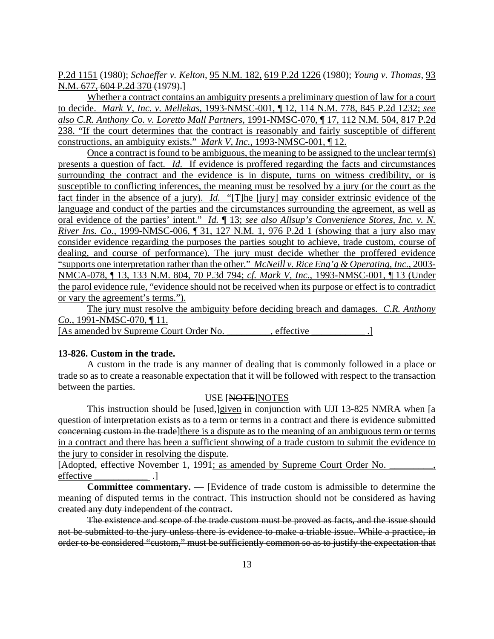P.2d 1151 (1980); *Schaeffer v. Kelton*, 95 N.M. 182, 619 P.2d 1226 (1980); *Young v. Thomas*, 93 N.M. 677, 604 P.2d 370 (1979).]

Whether a contract contains an ambiguity presents a preliminary question of law for a court to decide. *Mark V, Inc. v. Mellekas*, 1993-NMSC-001, ¶ 12, 114 N.M. 778, 845 P.2d 1232; *see also C.R. Anthony Co. v. Loretto Mall Partners*, 1991-NMSC-070, ¶ 17, 112 N.M. 504, 817 P.2d 238. "If the court determines that the contract is reasonably and fairly susceptible of different constructions, an ambiguity exists." *Mark V, Inc.*, 1993-NMSC-001, ¶ 12.

Once a contract is found to be ambiguous, the meaning to be assigned to the unclear term(s) presents a question of fact. *Id.* If evidence is proffered regarding the facts and circumstances surrounding the contract and the evidence is in dispute, turns on witness credibility, or is susceptible to conflicting inferences, the meaning must be resolved by a jury (or the court as the fact finder in the absence of a jury). *Id.* "[T]he [jury] may consider extrinsic evidence of the language and conduct of the parties and the circumstances surrounding the agreement, as well as oral evidence of the parties' intent." *Id.* ¶ 13; *see also Allsup's Convenience Stores, Inc. v. N. River Ins. Co.*, 1999-NMSC-006, ¶ 31, 127 N.M. 1, 976 P.2d 1 (showing that a jury also may consider evidence regarding the purposes the parties sought to achieve, trade custom, course of dealing, and course of performance). The jury must decide whether the proffered evidence "supports one interpretation rather than the other." *McNeill v. Rice Eng'g & Operating, Inc.*, 2003- NMCA-078, ¶ 13, 133 N.M. 804, 70 P.3d 794; *cf. Mark V, Inc.*, 1993-NMSC-001, ¶ 13 (Under the parol evidence rule, "evidence should not be received when its purpose or effect is to contradict or vary the agreement's terms.").

The jury must resolve the ambiguity before deciding breach and damages. *C.R. Anthony Co.*, 1991-NMSC-070, ¶ 11.

[As amended by Supreme Court Order No. effective ...

#### **13-826. Custom in the trade.**

A custom in the trade is any manner of dealing that is commonly followed in a place or trade so as to create a reasonable expectation that it will be followed with respect to the transaction between the parties.

#### USE [NOTE]NOTES

This instruction should be [ $used$ ]given in conjunction with UJI 13-825 NMRA when  $[a]$ question of interpretation exists as to a term or terms in a contract and there is evidence submitted concerning custom in the trade]there is a dispute as to the meaning of an ambiguous term or terms in a contract and there has been a sufficient showing of a trade custom to submit the evidence to the jury to consider in resolving the dispute.

[Adopted, effective November 1, 1991; as amended by Supreme Court Order No. effective ...

**Committee commentary.** — [Evidence of trade custom is admissible to determine the meaning of disputed terms in the contract. This instruction should not be considered as having created any duty independent of the contract.

The existence and scope of the trade custom must be proved as facts, and the issue should not be submitted to the jury unless there is evidence to make a triable issue. While a practice, in order to be considered "custom," must be sufficiently common so as to justify the expectation that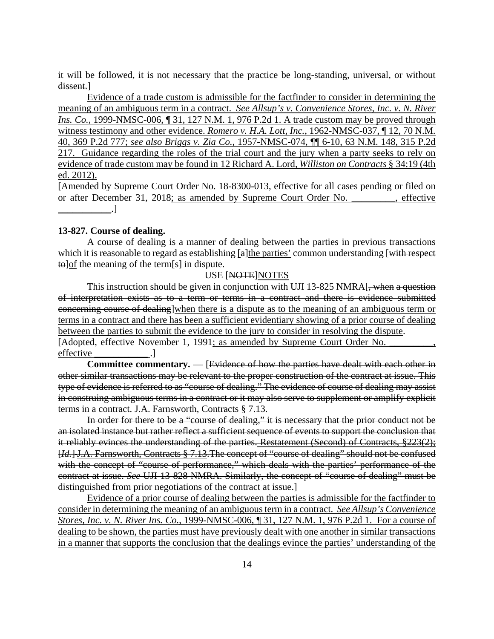it will be followed, it is not necessary that the practice be long-standing, universal, or without dissent.]

Evidence of a trade custom is admissible for the factfinder to consider in determining the meaning of an ambiguous term in a contract. *See Allsup's v. Convenience Stores, Inc. v. N. River Ins. Co.*, 1999-NMSC-006, ¶ 31, 127 N.M. 1, 976 P.2d 1. A trade custom may be proved through witness testimony and other evidence. *Romero v. H.A. Lott, Inc.*, 1962-NMSC-037, ¶ 12, 70 N.M. 40, 369 P.2d 777; *see also Briggs v. Zia Co.*, 1957-NMSC-074, ¶¶ 6-10, 63 N.M. 148, 315 P.2d 217. Guidance regarding the roles of the trial court and the jury when a party seeks to rely on evidence of trade custom may be found in 12 Richard A. Lord, *Williston on Contracts* § 34:19 (4th ed. 2012).

[Amended by Supreme Court Order No. 18-8300-013, effective for all cases pending or filed on or after December 31, 2018; as amended by Supreme Court Order No. \_\_\_\_\_\_\_\_\_, effective  $\Box$ 

## **13-827. Course of dealing.**

A course of dealing is a manner of dealing between the parties in previous transactions which it is reasonable to regard as establishing [a]the parties' common understanding [with respect]  $\text{te}$  of the meaning of the term[s] in dispute.

## USE [NOTE]NOTES

This instruction should be given in conjunction with UJI 13-825 NMRA. when a question of interpretation exists as to a term or terms in a contract and there is evidence submitted concerning course of dealing]when there is a dispute as to the meaning of an ambiguous term or terms in a contract and there has been a sufficient evidentiary showing of a prior course of dealing between the parties to submit the evidence to the jury to consider in resolving the dispute. [Adopted, effective November 1, 1991; as amended by Supreme Court Order No. effective ...

**Committee commentary.** — [Evidence of how the parties have dealt with each other in other similar transactions may be relevant to the proper construction of the contract at issue. This type of evidence is referred to as "course of dealing." The evidence of course of dealing may assist in construing ambiguous terms in a contract or it may also serve to supplement or amplify explicit terms in a contract. J.A. Farnsworth, Contracts § 7.13.

In order for there to be a "course of dealing," it is necessary that the prior conduct not be an isolated instance but rather reflect a sufficient sequence of events to support the conclusion that it reliably evinces the understanding of the parties. Restatement (Second) of Contracts, §223(2); [*Id.*] J.A. Farnsworth, Contracts § 7.13.The concept of "course of dealing" should not be confused with the concept of "course of performance," which deals with the parties' performance of the contract at issue. *See* UJI 13-828 NMRA. Similarly, the concept of "course of dealing" must be distinguished from prior negotiations of the contract at issue.]

Evidence of a prior course of dealing between the parties is admissible for the factfinder to consider in determining the meaning of an ambiguous term in a contract. *See Allsup's Convenience Stores, Inc. v. N. River Ins. Co.*, 1999-NMSC-006, ¶ 31, 127 N.M. 1, 976 P.2d 1. For a course of dealing to be shown, the parties must have previously dealt with one another in similar transactions in a manner that supports the conclusion that the dealings evince the parties' understanding of the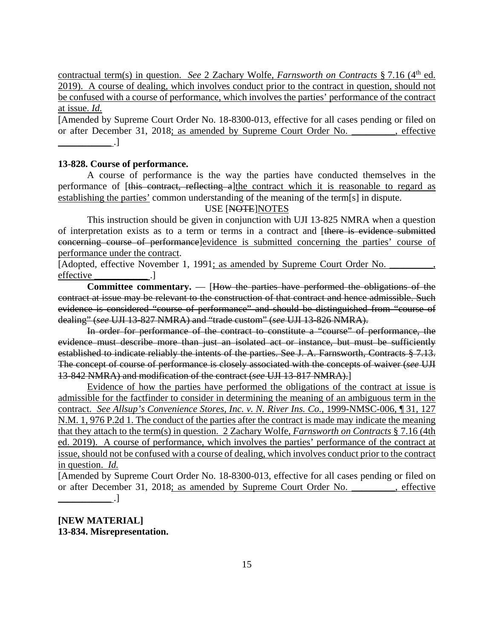contractual term(s) in question. *See* 2 Zachary Wolfe, *Farnsworth on Contracts* § 7.16 (4<sup>th</sup> ed. 2019). A course of dealing, which involves conduct prior to the contract in question, should not be confused with a course of performance, which involves the parties' performance of the contract at issue. *Id.*

[Amended by Supreme Court Order No. 18-8300-013, effective for all cases pending or filed on or after December 31, 2018; as amended by Supreme Court Order No.  $\qquad \qquad$ , effective  $\Box$ 

### **13-828. Course of performance.**

A course of performance is the way the parties have conducted themselves in the performance of [this contract, reflecting a]the contract which it is reasonable to regard as establishing the parties' common understanding of the meaning of the term[s] in dispute.

# USE [NOTE]NOTES

This instruction should be given in conjunction with UJI 13-825 NMRA when a question of interpretation exists as to a term or terms in a contract and [there is evidence submitted concerning course of performance]evidence is submitted concerning the parties' course of performance under the contract.

[Adopted, effective November 1, 1991; as amended by Supreme Court Order No. effective ...

**Committee commentary.** — [How the parties have performed the obligations of the contract at issue may be relevant to the construction of that contract and hence admissible. Such evidence is considered "course of performance" and should be distinguished from "course of dealing" (*see* UJI 13-827 NMRA) and "trade custom" (*see* UJI 13-826 NMRA).

In order for performance of the contract to constitute a "course" of performance, the evidence must describe more than just an isolated act or instance, but must be sufficiently established to indicate reliably the intents of the parties. See J. A. Farnsworth, Contracts § 7.13. The concept of course of performance is closely associated with the concepts of waiver (*see* UJI 13-842 NMRA) and modification of the contract (*see* UJI 13-817 NMRA).]

Evidence of how the parties have performed the obligations of the contract at issue is admissible for the factfinder to consider in determining the meaning of an ambiguous term in the contract. *See Allsup's Convenience Stores, Inc. v. N. River Ins. Co.*, 1999-NMSC-006, ¶ 31, 127 N.M. 1, 976 P.2d 1. The conduct of the parties after the contract is made may indicate the meaning that they attach to the term(s) in question. 2 Zachary Wolfe, *Farnsworth on Contracts* § 7.16 (4th ed. 2019). A course of performance, which involves the parties' performance of the contract at issue, should not be confused with a course of dealing, which involves conduct prior to the contract in question. *Id.*

[Amended by Supreme Court Order No. 18-8300-013, effective for all cases pending or filed on or after December 31, 2018; as amended by Supreme Court Order No. \_\_\_\_\_\_\_, effective  $\blacksquare$ 

**[NEW MATERIAL] 13-834. Misrepresentation.**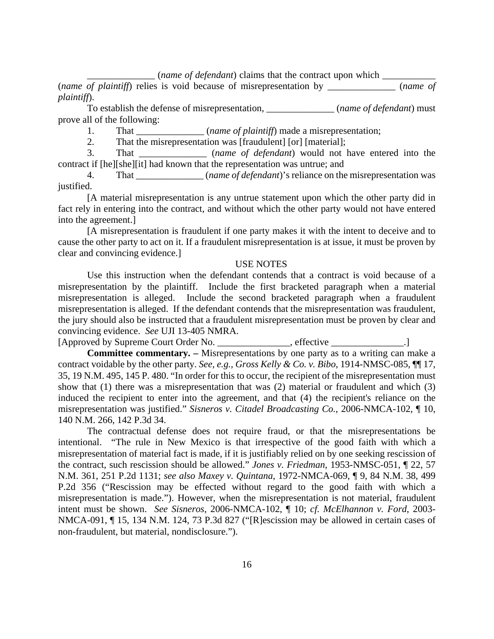\_\_\_\_\_\_\_\_\_\_\_\_\_\_ (*name of defendant*) claims that the contract upon which \_\_\_\_\_\_\_\_\_\_\_

(*name of plaintiff*) relies is void because of misrepresentation by \_\_\_\_\_\_\_\_\_\_\_\_\_\_ (*name of plaintiff*).

To establish the defense of misrepresentation, *\_\_\_\_\_\_\_\_\_\_\_\_\_\_\_\_(name of defendant*) must prove all of the following:

1. That \_\_\_\_\_\_\_\_\_\_\_\_\_\_ (*name of plaintiff*) made a misrepresentation;

2. That the misrepresentation was [fraudulent] [or] [material];

3. That \_\_\_\_\_\_\_\_\_\_\_\_\_\_ (*name of defendant*) would not have entered into the contract if [he][she][it] had known that the representation was untrue; and

4. That \_\_\_\_\_\_\_\_\_\_\_\_\_\_ (*name of defendant*)'s reliance on the misrepresentation was justified.

[A material misrepresentation is any untrue statement upon which the other party did in fact rely in entering into the contract, and without which the other party would not have entered into the agreement.]

[A misrepresentation is fraudulent if one party makes it with the intent to deceive and to cause the other party to act on it. If a fraudulent misrepresentation is at issue, it must be proven by clear and convincing evidence.]

#### USE NOTES

Use this instruction when the defendant contends that a contract is void because of a misrepresentation by the plaintiff. Include the first bracketed paragraph when a material misrepresentation is alleged. Include the second bracketed paragraph when a fraudulent misrepresentation is alleged. If the defendant contends that the misrepresentation was fraudulent, the jury should also be instructed that a fraudulent misrepresentation must be proven by clear and convincing evidence. *See* UJI 13-405 NMRA.

[Approved by Supreme Court Order No. \_\_\_\_\_\_\_\_\_\_\_\_\_\_, effective \_\_\_\_\_\_\_\_\_\_\_\_\_.]

**Committee commentary. –** Misrepresentations by one party as to a writing can make a contract voidable by the other party. *See, e.g.*, *Gross Kelly & Co. v. Bibo*, 1914-NMSC-085, ¶¶ 17, 35, 19 N.M. 495, 145 P. 480. "In order for this to occur, the recipient of the misrepresentation must show that (1) there was a misrepresentation that was (2) material or fraudulent and which (3) induced the recipient to enter into the agreement, and that (4) the recipient's reliance on the misrepresentation was justified." *Sisneros v. Citadel Broadcasting Co.*, 2006-NMCA-102, ¶ 10, 140 N.M. 266, 142 P.3d 34.

The contractual defense does not require fraud, or that the misrepresentations be intentional. "The rule in New Mexico is that irrespective of the good faith with which a misrepresentation of material fact is made, if it is justifiably relied on by one seeking rescission of the contract, such rescission should be allowed." *Jones v. Friedman*, 1953-NMSC-051, ¶ 22, 57 N.M. 361, 251 P.2d 1131; *see also Maxey v. Quintana*, 1972-NMCA-069, ¶ 9, 84 N.M. 38, 499 P.2d 356 ("Rescission may be effected without regard to the good faith with which a misrepresentation is made."). However, when the misrepresentation is not material, fraudulent intent must be shown. *See Sisneros*, 2006-NMCA-102, ¶ 10; *cf. McElhannon v. Ford*, 2003- NMCA-091, ¶ 15, 134 N.M. 124, 73 P.3d 827 ("[R]escission may be allowed in certain cases of non-fraudulent, but material, nondisclosure.").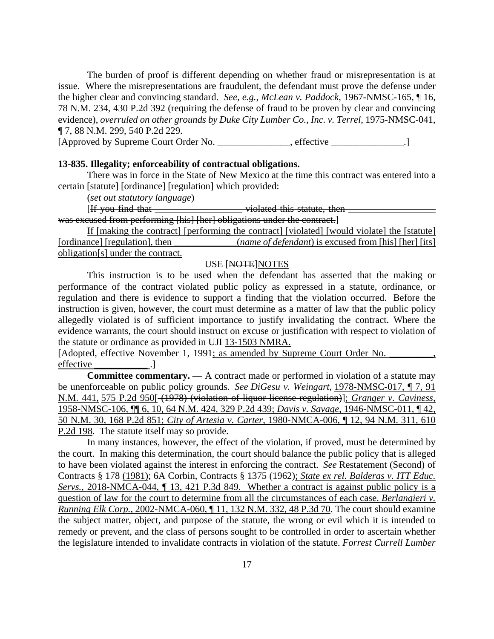The burden of proof is different depending on whether fraud or misrepresentation is at issue. Where the misrepresentations are fraudulent, the defendant must prove the defense under the higher clear and convincing standard. *See, e.g.*, *McLean v. Paddock*, 1967-NMSC-165, ¶ 16, 78 N.M. 234, 430 P.2d 392 (requiring the defense of fraud to be proven by clear and convincing evidence), *overruled on other grounds by Duke City Lumber Co., Inc. v. Terrel*, 1975-NMSC-041, ¶ 7, 88 N.M. 299, 540 P.2d 229.

[Approved by Supreme Court Order No. \_\_\_\_\_\_\_\_\_\_\_\_\_\_\_, effective \_\_\_\_\_\_\_\_\_\_\_\_\_\_\_.]

#### **13-835. Illegality; enforceability of contractual obligations.**

There was in force in the State of New Mexico at the time this contract was entered into a certain [statute] [ordinance] [regulation] which provided:

(*set out statutory language*)

[If you find that \_\_\_\_\_\_\_\_\_\_\_\_\_\_\_\_\_\_\_\_\_\_\_\_ violated this statute, then \_\_\_\_\_\_\_\_\_\_ was excused from performing [his] [her] obligations under the contract.]

If [making the contract] [performing the contract] [violated] [would violate] the [statute] [ordinance] [regulation], then \_\_\_\_\_\_\_\_\_\_\_*\_\_\_(name of defendant*) is excused from [his] [her] [its] obligation[s] under the contract.

# USE [NOTE]NOTES

This instruction is to be used when the defendant has asserted that the making or performance of the contract violated public policy as expressed in a statute, ordinance, or regulation and there is evidence to support a finding that the violation occurred. Before the instruction is given, however, the court must determine as a matter of law that the public policy allegedly violated is of sufficient importance to justify invalidating the contract. Where the evidence warrants, the court should instruct on excuse or justification with respect to violation of the statute or ordinance as provided in UJI 13-1503 NMRA.

[Adopted, effective November 1, 1991; as amended by Supreme Court Order No. \_\_\_\_\_\_ effective \_\_\_\_\_\_\_\_\_\_\_ .]

**Committee commentary.** — A contract made or performed in violation of a statute may be unenforceable on public policy grounds. *See DiGesu v. Weingart*, 1978-NMSC-017, ¶ 7, 91 N.M. 441, 575 P.2d 950[ (1978) (violation of liquor license regulation)]; *Granger v. Caviness*, 1958-NMSC-106, ¶¶ 6, 10, 64 N.M. 424, 329 P.2d 439; *Davis v. Savage*, 1946-NMSC-011, ¶ 42, 50 N.M. 30, 168 P.2d 851; *City of Artesia v. Carter*, 1980-NMCA-006, ¶ 12, 94 N.M. 311, 610 P.2d 198. The statute itself may so provide.

In many instances, however, the effect of the violation, if proved, must be determined by the court. In making this determination, the court should balance the public policy that is alleged to have been violated against the interest in enforcing the contract. *See* Restatement (Second) of Contracts § 178 (1981); 6A Corbin, Contracts § 1375 (1962); *State ex rel. Balderas v. ITT Educ. Servs.*, 2018-NMCA-044, ¶ 13, 421 P.3d 849. Whether a contract is against public policy is a question of law for the court to determine from all the circumstances of each case. *Berlangieri v. Running Elk Corp.*, 2002-NMCA-060, ¶ 11, 132 N.M. 332, 48 P.3d 70. The court should examine the subject matter, object, and purpose of the statute, the wrong or evil which it is intended to remedy or prevent, and the class of persons sought to be controlled in order to ascertain whether the legislature intended to invalidate contracts in violation of the statute. *Forrest Currell Lumber*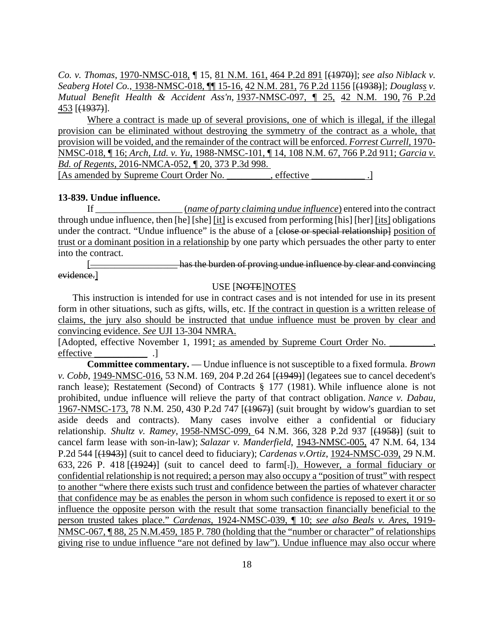*Co. v. Thomas*, 1970-NMSC-018, ¶ 15, 81 N.M. 161, 464 P.2d 891 [(1970)]; *see also Niblack v. Seaberg Hotel Co.*, 1938-NMSC-018, ¶¶ 15-16, 42 N.M. 281, 76 P.2d 1156 [(1938)]; *Douglass v. Mutual Benefit Health & Accident Ass'n*, 1937-NMSC-097, ¶ 25, 42 N.M. 190, 76 P.2d 453 [(1937)].

Where a contract is made up of several provisions, one of which is illegal, if the illegal provision can be eliminated without destroying the symmetry of the contract as a whole, that provision will be voided, and the remainder of the contract will be enforced. *Forrest Currell,* 1970- NMSC-018, ¶ 16; *Arch, Ltd. v. Yu*, 1988-NMSC-101, ¶ 14, 108 N.M. 67, 766 P.2d 911; *Garcia v. Bd. of Regents*, 2016-NMCA-052, ¶ 20, 373 P.3d 998. [As amended by Supreme Court Order No.  $\qquad \qquad$ , effective

#### **13-839. Undue influence.**

If \_\_\_\_\_\_\_\_\_\_\_\_\_\_\_\_\_\_ (*name of party claiming undue influence*) entered into the contract through undue influence, then [he] [she] [it] is excused from performing [his] [her] [its] obligations under the contract. "Undue influence" is the abuse of a [close or special relationship] position of trust or a dominant position in a relationship by one party which persuades the other party to enter into the contract.

[\_\_\_\_\_\_\_\_\_\_\_\_\_\_\_\_\_\_ has the burden of proving undue influence by clear and convincing evidence.]

#### USE [NOTE]NOTES

This instruction is intended for use in contract cases and is not intended for use in its present form in other situations, such as gifts, wills, etc. If the contract in question is a written release of claims, the jury also should be instructed that undue influence must be proven by clear and convincing evidence. *See* UJI 13-304 NMRA.

[Adopted, effective November 1, 1991; as amended by Supreme Court Order No. effective .]

**Committee commentary.** — Undue influence is not susceptible to a fixed formula. *Brown v. Cobb*, 1949-NMSC-016, 53 N.M. 169, 204 P.2d 264 [(1949)] (legatees sue to cancel decedent's ranch lease); Restatement (Second) of Contracts § 177 (1981). While influence alone is not prohibited, undue influence will relieve the party of that contract obligation. *Nance v. Dabau*, 1967-NMSC-173, 78 N.M. 250, 430 P.2d 747 [(1967)] (suit brought by widow's guardian to set aside deeds and contracts). Many cases involve either a confidential or fiduciary relationship. *Shultz v. Ramey*, 1958-NMSC-099, 64 N.M. 366, 328 P.2d 937 [(1958)] (suit to cancel farm lease with son-in-law); *Salazar v. Manderfield*, 1943-NMSC-005, 47 N.M. 64, 134 P.2d 544 [(1943)] (suit to cancel deed to fiduciary); *Cardenas v.Ortiz*, 1924-NMSC-039, 29 N.M. 633, 226 P. 418  $[$ (4924)] (suit to cancel deed to farm $[$ -]). However, a formal fiduciary or confidential relationship is not required; a person may also occupy a "position of trust" with respect to another "where there exists such trust and confidence between the parties of whatever character that confidence may be as enables the person in whom such confidence is reposed to exert it or so influence the opposite person with the result that some transaction financially beneficial to the person trusted takes place." *Cardenas,* 1924-NMSC-039, ¶ 10; *see also Beals v. Ares*, 1919- NMSC-067, ¶ 88, 25 N.M.459, 185 P. 780 (holding that the "number or character" of relationships giving rise to undue influence "are not defined by law"). Undue influence may also occur where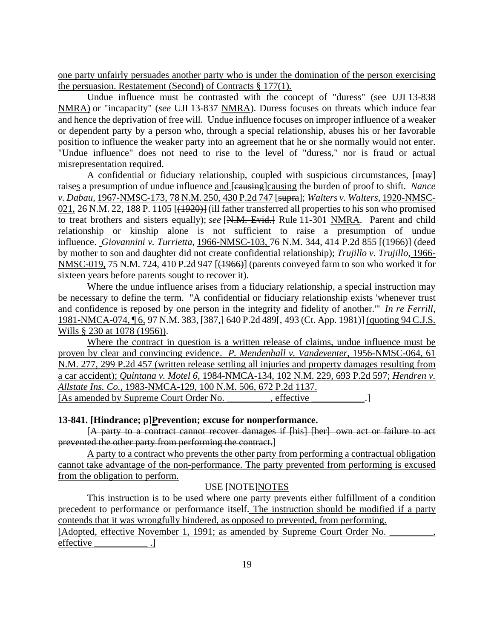one party unfairly persuades another party who is under the domination of the person exercising the persuasion. Restatement (Second) of Contracts § 177(1)*.*

Undue influence must be contrasted with the concept of "duress" (see UJI 13-838 NMRA) or "incapacity" (*see* UJI 13-837 NMRA). Duress focuses on threats which induce fear and hence the deprivation of free will. Undue influence focuses on improper influence of a weaker or dependent party by a person who, through a special relationship, abuses his or her favorable position to influence the weaker party into an agreement that he or she normally would not enter. "Undue influence" does not need to rise to the level of "duress," nor is fraud or actual misrepresentation required.

A confidential or fiduciary relationship, coupled with suspicious circumstances, [may] raises a presumption of undue influence and [causing]causing the burden of proof to shift. *Nance v. Dabau*, 1967-NMSC-173, 78 N.M. 250, 430 P.2d 747 [supra]; *Walters v. Walters*, 1920-NMSC-021, 26 N.M. 22, 188 P. 1105 [(1920)] (ill father transferred all properties to his son who promised to treat brothers and sisters equally); *see* [N.M. Evid.] Rule 11-301 NMRA. Parent and child relationship or kinship alone is not sufficient to raise a presumption of undue influence. *Giovannini v. Turrietta*, 1966-NMSC-103, 76 N.M. 344, 414 P.2d 855 [(1966)] (deed by mother to son and daughter did not create confidential relationship); *Trujillo v. Trujillo*, 1966- NMSC-019, 75 N.M. 724, 410 P.2d 947 [(1966)] (parents conveyed farm to son who worked it for sixteen years before parents sought to recover it).

Where the undue influence arises from a fiduciary relationship, a special instruction may be necessary to define the term. "A confidential or fiduciary relationship exists 'whenever trust and confidence is reposed by one person in the integrity and fidelity of another.'" *In re Ferrill*, 1981-NMCA-074, ¶ 6, 97 N.M. 383, [387,] 640 P.2d 489[, 493 (Ct. App. 1981)] (quoting 94 C.J.S. Wills § 230 at 1078 (1956)).

Where the contract in question is a written release of claims, undue influence must be proven by clear and convincing evidence. *P. Mendenhall v. Vandeventer*, 1956-NMSC-064, 61 N.M. 277, 299 P.2d 457 (written release settling all injuries and property damages resulting from a car accident); *Quintana v. Motel 6*, 1984-NMCA-134, 102 N.M. 229, 693 P.2d 597; *Hendren v. Allstate Ins. Co.*, 1983-NMCA-129, 100 N.M. 506, 672 P.2d 1137. [As amended by Supreme Court Order No. \_\_\_\_\_\_\_, effective \_\_\_\_\_\_\_\_.]

### **13-841.** [*Hindrance; p*]*Prevention; excuse for nonperformance.*

[A party to a contract cannot recover damages if [his] [her] own act or failure to act prevented the other party from performing the contract.]

A party to a contract who prevents the other party from performing a contractual obligation cannot take advantage of the non-performance. The party prevented from performing is excused from the obligation to perform.

### USE [NOTE]NOTES

This instruction is to be used where one party prevents either fulfillment of a condition precedent to performance or performance itself. The instruction should be modified if a party contends that it was wrongfully hindered, as opposed to prevented, from performing.

[Adopted, effective November 1, 1991; as amended by Supreme Court Order No. effective ...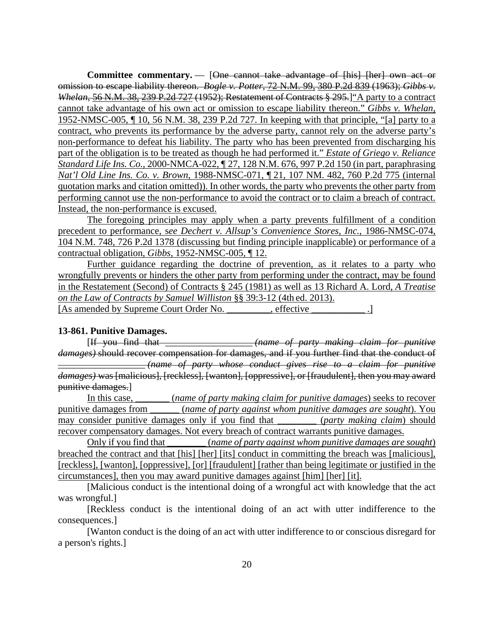**Committee commentary.** — [One cannot take advantage of [his] [her] own act or omission to escape liability thereon. *Bogle v. Potter*, 72 N.M. 99, 380 P.2d 839 (1963); *Gibbs v. Whelan*, 56 N.M. 38, 239 P.2d 727 (1952); Restatement of Contracts § 295.]"A party to a contract cannot take advantage of his own act or omission to escape liability thereon." *Gibbs v. Whelan*, 1952-NMSC-005, ¶ 10, 56 N.M. 38, 239 P.2d 727. In keeping with that principle, "[a] party to a contract, who prevents its performance by the adverse party, cannot rely on the adverse party's non-performance to defeat his liability. The party who has been prevented from discharging his part of the obligation is to be treated as though he had performed it." *Estate of Griego v. Reliance Standard Life Ins. Co.*, 2000-NMCA-022, ¶ 27, 128 N.M. 676, 997 P.2d 150 (in part, paraphrasing *Nat'l Old Line Ins. Co. v. Brown*, 1988-NMSC-071, ¶ 21, 107 NM. 482, 760 P.2d 775 (internal quotation marks and citation omitted)). In other words, the party who prevents the other party from performing cannot use the non-performance to avoid the contract or to claim a breach of contract. Instead, the non-performance is excused.

The foregoing principles may apply when a party prevents fulfillment of a condition precedent to performance, s*ee Dechert v. Allsup's Convenience Stores, Inc.*, 1986-NMSC-074, 104 N.M. 748, 726 P.2d 1378 (discussing but finding principle inapplicable) or performance of a contractual obligation, *Gibbs*, 1952-NMSC-005, ¶ 12.

Further guidance regarding the doctrine of prevention, as it relates to a party who wrongfully prevents or hinders the other party from performing under the contract, may be found in the Restatement (Second) of Contracts § 245 (1981) as well as 13 Richard A. Lord, *A Treatise on the Law of Contracts by Samuel Williston* §§ 39:3-12 (4th ed. 2013). [As amended by Supreme Court Order No. \_\_\_\_\_\_\_, effective \_\_\_\_\_\_\_\_\_\_\_.]

## **13-861. Punitive Damages.**

[If you find that \_\_\_\_\_\_\_\_\_\_\_\_\_\_\_\_\_\_ *(name of party making claim for punitive damages)* should recover compensation for damages, and if you further find that the conduct of \_\_\_\_\_\_\_\_\_\_\_\_\_\_\_\_\_\_ *(name of party whose conduct gives rise to a claim for punitive damages)* was [malicious], [reckless], [wanton], [oppressive], or [fraudulent], then you may award punitive damages.]

In this case, \_\_\_\_\_\_\_ (*name of party making claim for punitive damages*) seeks to recover punitive damages from \_\_\_\_\_\_ (*name of party against whom punitive damages are sought*). You may consider punitive damages only if you find that \_\_\_\_\_\_\_\_ (*party making claim*) should recover compensatory damages. Not every breach of contract warrants punitive damages.

Only if you find that \_\_\_\_\_\_\_\_ (*name of party against whom punitive damages are sought*) breached the contract and that [his] [her] [its] conduct in committing the breach was [malicious], [reckless], [wanton], [oppressive], [or] [fraudulent] [rather than being legitimate or justified in the circumstances], then you may award punitive damages against [him] [her] [it].

[Malicious conduct is the intentional doing of a wrongful act with knowledge that the act was wrongful.]

[Reckless conduct is the intentional doing of an act with utter indifference to the consequences.]

[Wanton conduct is the doing of an act with utter indifference to or conscious disregard for a person's rights.]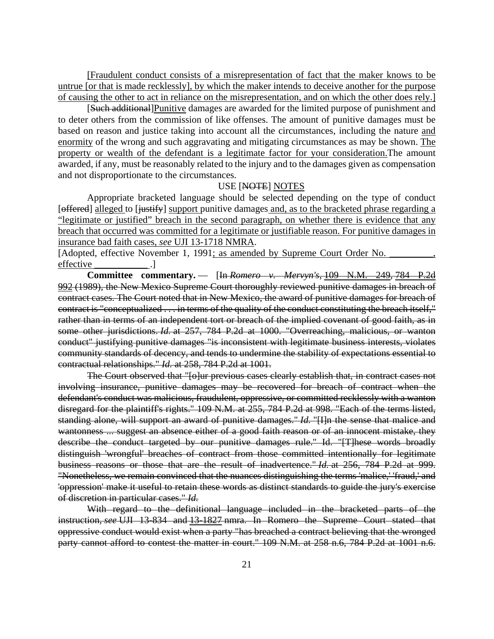[Fraudulent conduct consists of a misrepresentation of fact that the maker knows to be untrue [or that is made recklessly], by which the maker intends to deceive another for the purpose of causing the other to act in reliance on the misrepresentation, and on which the other does rely.]

[Such additional]Punitive damages are awarded for the limited purpose of punishment and to deter others from the commission of like offenses. The amount of punitive damages must be based on reason and justice taking into account all the circumstances, including the nature and enormity of the wrong and such aggravating and mitigating circumstances as may be shown. The property or wealth of the defendant is a legitimate factor for your consideration.The amount awarded, if any, must be reasonably related to the injury and to the damages given as compensation and not disproportionate to the circumstances.

### USE [NOTE] NOTES

Appropriate bracketed language should be selected depending on the type of conduct [offered] alleged to [justify] support punitive damages and, as to the bracketed phrase regarding a "legitimate or justified" breach in the second paragraph, on whether there is evidence that any breach that occurred was committed for a legitimate or justifiable reason. For punitive damages in insurance bad faith cases, *see* UJI 13-1718 NMRA.

[Adopted, effective November 1, 1991; as amended by Supreme Court Order No. effective ...

**Committee commentary.** — [In *Romero v. Mervyn's*, 109 N.M. 249, 784 P.2d 992 (1989), the New Mexico Supreme Court thoroughly reviewed punitive damages in breach of contract cases. The Court noted that in New Mexico, the award of punitive damages for breach of contract is "conceptualized . . . in terms of the quality of the conduct constituting the breach itself," rather than in terms of an independent tort or breach of the implied covenant of good faith, as in some other jurisdictions. *Id.* at 257, 784 P.2d at 1000. "Overreaching, malicious, or wanton conduct" justifying punitive damages "is inconsistent with legitimate business interests, violates community standards of decency, and tends to undermine the stability of expectations essential to contractual relationships." *Id.* at 258, 784 P.2d at 1001.

The Court observed that "[o]ur previous cases clearly establish that, in contract cases not involving insurance, punitive damages may be recovered for breach of contract when the defendant's conduct was malicious, fraudulent, oppressive, or committed recklessly with a wanton disregard for the plaintiff's rights." 109 N.M. at 255, 784 P.2d at 998. "Each of the terms listed, standing alone, will support an award of punitive damages." *Id.* "[I]n the sense that malice and wantonness ... suggest an absence either of a good faith reason or of an innocent mistake, they describe the conduct targeted by our punitive damages rule." Id. "[T]hese words broadly distinguish 'wrongful' breaches of contract from those committed intentionally for legitimate business reasons or those that are the result of inadvertence." *Id.* at 256, 784 P.2d at 999. "Nonetheless, we remain convinced that the nuances distinguishing the terms 'malice,' 'fraud,' and 'oppression' make it useful to retain these words as distinct standards to guide the jury's exercise of discretion in particular cases." *Id.* 

With regard to the definitional language included in the bracketed parts of the instruction, *see* UJI 13-834 and 13-1827 nmra. In Romero the Supreme Court stated that oppressive conduct would exist when a party "has breached a contract believing that the wronged party cannot afford to contest the matter in court." 109 N.M. at 258 n.6, 784 P.2d at 1001 n.6.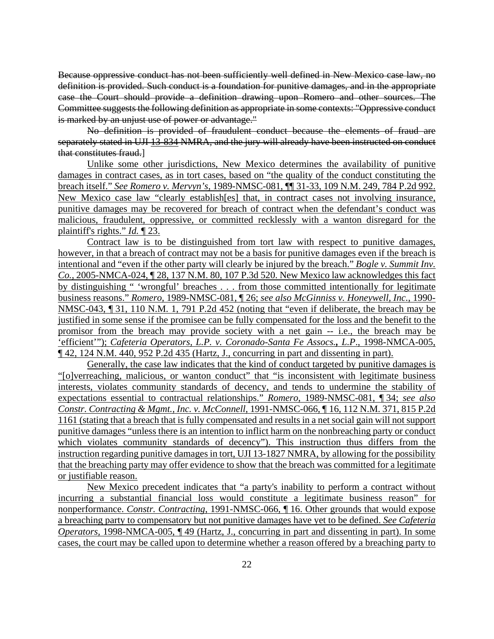Because oppressive conduct has not been sufficiently well defined in New Mexico case law, no definition is provided. Such conduct is a foundation for punitive damages, and in the appropriate case the Court should provide a definition drawing upon Romero and other sources. The Committee suggests the following definition as appropriate in some contexts: "Oppressive conduct is marked by an unjust use of power or advantage."

No definition is provided of fraudulent conduct because the elements of fraud are separately stated in UJI 13-834 NMRA, and the jury will already have been instructed on conduct that constitutes fraud.]

Unlike some other jurisdictions, New Mexico determines the availability of punitive damages in contract cases, as in tort cases, based on "the quality of the conduct constituting the breach itself." *See Romero v. Mervyn's*, 1989-NMSC-081, ¶¶ 31-33, 109 N.M. 249, 784 P.2d 992. New Mexico case law "clearly establish[es] that, in contract cases not involving insurance, punitive damages may be recovered for breach of contract when the defendant's conduct was malicious, fraudulent, oppressive, or committed recklessly with a wanton disregard for the plaintiff's rights." *Id.* ¶ 23.

Contract law is to be distinguished from tort law with respect to punitive damages, however, in that a breach of contract may not be a basis for punitive damages even if the breach is intentional and "even if the other party will clearly be injured by the breach." *Bogle v. Summit Inv. Co.*, 2005-NMCA-024, ¶ 28, 137 N.M. 80, 107 P.3d 520. New Mexico law acknowledges this fact by distinguishing " 'wrongful' breaches . . . from those committed intentionally for legitimate business reasons." *Romero*, 1989-NMSC-081, ¶ 26; *see also McGinniss v. Honeywell, Inc.*, 1990- NMSC-043, ¶ 31, 110 N.M. 1, 791 P.2d 452 (noting that "even if deliberate, the breach may be justified in some sense if the promisee can be fully compensated for the loss and the benefit to the promisor from the breach may provide society with a net gain -- i.e., the breach may be 'efficient'"); *Cafeteria Operators, L.P. v. Coronado-Santa Fe Assocs., L.P*., 1998-NMCA-005, ¶ 42, 124 N.M. 440, 952 P.2d 435 (Hartz, J., concurring in part and dissenting in part).

Generally, the case law indicates that the kind of conduct targeted by punitive damages is "[o]verreaching, malicious, or wanton conduct" that "is inconsistent with legitimate business interests, violates community standards of decency, and tends to undermine the stability of expectations essential to contractual relationships." *Romero*, 1989-NMSC-081, ¶ 34; *see also Constr. Contracting & Mgmt., Inc. v. McConnell*, 1991-NMSC-066, ¶ 16, 112 N.M. 371, 815 P.2d 1161 (stating that a breach that is fully compensated and results in a net social gain will not support punitive damages "unless there is an intention to inflict harm on the nonbreaching party or conduct which violates community standards of decency"). This instruction thus differs from the instruction regarding punitive damages in tort, UJI 13-1827 NMRA, by allowing for the possibility that the breaching party may offer evidence to show that the breach was committed for a legitimate or justifiable reason.

New Mexico precedent indicates that "a party's inability to perform a contract without incurring a substantial financial loss would constitute a legitimate business reason" for nonperformance. *Constr. Contracting*, 1991-NMSC-066, ¶ 16. Other grounds that would expose a breaching party to compensatory but not punitive damages have yet to be defined. *See Cafeteria Operators,* 1998-NMCA-005, ¶ 49 (Hartz, J., concurring in part and dissenting in part). In some cases, the court may be called upon to determine whether a reason offered by a breaching party to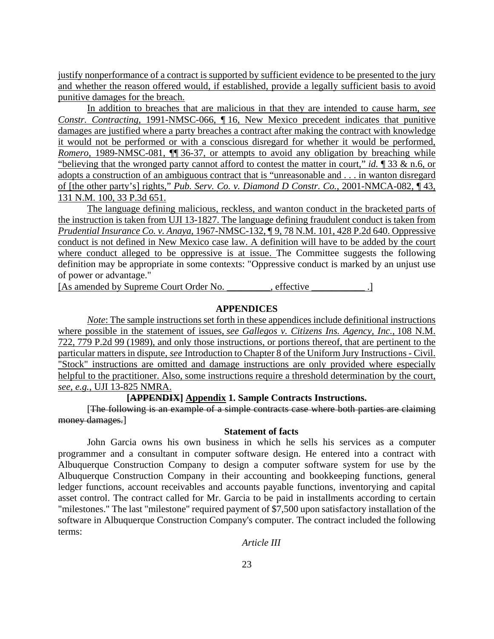justify nonperformance of a contract is supported by sufficient evidence to be presented to the jury and whether the reason offered would, if established, provide a legally sufficient basis to avoid punitive damages for the breach.

In addition to breaches that are malicious in that they are intended to cause harm, *see Constr. Contracting*, 1991-NMSC-066, ¶ 16, New Mexico precedent indicates that punitive damages are justified where a party breaches a contract after making the contract with knowledge it would not be performed or with a conscious disregard for whether it would be performed, *Romero*, 1989-NMSC-081, ¶¶ 36-37, or attempts to avoid any obligation by breaching while "believing that the wronged party cannot afford to contest the matter in court," *id.* ¶ 33 & n.6, or adopts a construction of an ambiguous contract that is "unreasonable and . . . in wanton disregard of [the other party's] rights," *Pub. Serv. Co. v. Diamond D Constr. Co.*, 2001-NMCA-082, ¶ 43, 131 N.M. 100, 33 P.3d 651.

The language defining malicious, reckless, and wanton conduct in the bracketed parts of the instruction is taken from UJI 13-1827. The language defining fraudulent conduct is taken from *Prudential Insurance Co. v. Anaya*, 1967-NMSC-132, ¶ 9, 78 N.M. 101, 428 P.2d 640. Oppressive conduct is not defined in New Mexico case law. A definition will have to be added by the court where conduct alleged to be oppressive is at issue. The Committee suggests the following definition may be appropriate in some contexts: "Oppressive conduct is marked by an unjust use of power or advantage."

[As amended by Supreme Court Order No.  $\qquad \qquad$ , effective

### **APPENDICES**

*Note*: The sample instructions set forth in these appendices include definitional instructions where possible in the statement of issues, *see Gallegos v. Citizens Ins. Agency, Inc.*, 108 N.M. 722, 779 P.2d 99 (1989), and only those instructions, or portions thereof, that are pertinent to the particular matters in dispute, *see* Introduction to Chapter 8 of the Uniform Jury Instructions - Civil. "Stock" instructions are omitted and damage instructions are only provided where especially helpful to the practitioner. Also, some instructions require a threshold determination by the court, *see, e.g.*, UJI 13-825 NMRA.

### **[APPENDIX] Appendix 1. Sample Contracts Instructions.**

[The following is an example of a simple contracts case where both parties are claiming money damages.]

### **Statement of facts**

John Garcia owns his own business in which he sells his services as a computer programmer and a consultant in computer software design. He entered into a contract with Albuquerque Construction Company to design a computer software system for use by the Albuquerque Construction Company in their accounting and bookkeeping functions, general ledger functions, account receivables and accounts payable functions, inventorying and capital asset control. The contract called for Mr. Garcia to be paid in installments according to certain "milestones." The last "milestone" required payment of \$7,500 upon satisfactory installation of the software in Albuquerque Construction Company's computer. The contract included the following terms:

*Article III*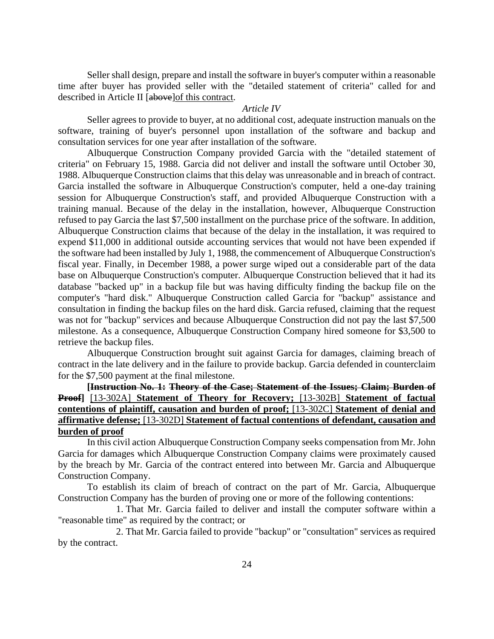Seller shall design, prepare and install the software in buyer's computer within a reasonable time after buyer has provided seller with the "detailed statement of criteria" called for and described in Article II [above]of this contract.

## *Article IV*

Seller agrees to provide to buyer, at no additional cost, adequate instruction manuals on the software, training of buyer's personnel upon installation of the software and backup and consultation services for one year after installation of the software.

Albuquerque Construction Company provided Garcia with the "detailed statement of criteria" on February 15, 1988. Garcia did not deliver and install the software until October 30, 1988. Albuquerque Construction claims that this delay was unreasonable and in breach of contract. Garcia installed the software in Albuquerque Construction's computer, held a one-day training session for Albuquerque Construction's staff, and provided Albuquerque Construction with a training manual. Because of the delay in the installation, however, Albuquerque Construction refused to pay Garcia the last \$7,500 installment on the purchase price of the software. In addition, Albuquerque Construction claims that because of the delay in the installation, it was required to expend \$11,000 in additional outside accounting services that would not have been expended if the software had been installed by July 1, 1988, the commencement of Albuquerque Construction's fiscal year. Finally, in December 1988, a power surge wiped out a considerable part of the data base on Albuquerque Construction's computer. Albuquerque Construction believed that it had its database "backed up" in a backup file but was having difficulty finding the backup file on the computer's "hard disk." Albuquerque Construction called Garcia for "backup" assistance and consultation in finding the backup files on the hard disk. Garcia refused, claiming that the request was not for "backup" services and because Albuquerque Construction did not pay the last \$7,500 milestone. As a consequence, Albuquerque Construction Company hired someone for \$3,500 to retrieve the backup files.

Albuquerque Construction brought suit against Garcia for damages, claiming breach of contract in the late delivery and in the failure to provide backup. Garcia defended in counterclaim for the \$7,500 payment at the final milestone.

**[Instruction No. 1: Theory of the Case; Statement of the Issues; Claim; Burden of Proof]** [13-302A] **Statement of Theory for Recovery;** [13-302B] **Statement of factual contentions of plaintiff, causation and burden of proof;** [13-302C] **Statement of denial and affirmative defense;** [13-302D] **Statement of factual contentions of defendant, causation and burden of proof** 

In this civil action Albuquerque Construction Company seeks compensation from Mr. John Garcia for damages which Albuquerque Construction Company claims were proximately caused by the breach by Mr. Garcia of the contract entered into between Mr. Garcia and Albuquerque Construction Company.

To establish its claim of breach of contract on the part of Mr. Garcia, Albuquerque Construction Company has the burden of proving one or more of the following contentions:

 1. That Mr. Garcia failed to deliver and install the computer software within a "reasonable time" as required by the contract; or

 2. That Mr. Garcia failed to provide "backup" or "consultation" services as required by the contract.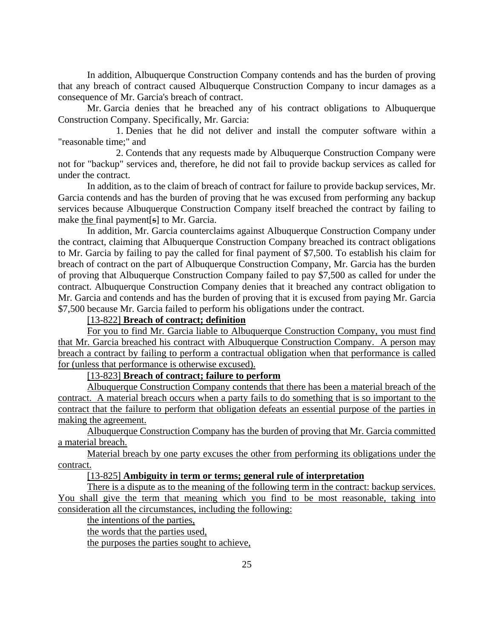In addition, Albuquerque Construction Company contends and has the burden of proving that any breach of contract caused Albuquerque Construction Company to incur damages as a consequence of Mr. Garcia's breach of contract.

Mr. Garcia denies that he breached any of his contract obligations to Albuquerque Construction Company. Specifically, Mr. Garcia:

 1. Denies that he did not deliver and install the computer software within a "reasonable time;" and

 2. Contends that any requests made by Albuquerque Construction Company were not for "backup" services and, therefore, he did not fail to provide backup services as called for under the contract.

In addition, as to the claim of breach of contract for failure to provide backup services, Mr. Garcia contends and has the burden of proving that he was excused from performing any backup services because Albuquerque Construction Company itself breached the contract by failing to make the final payment[s] to Mr. Garcia.

In addition, Mr. Garcia counterclaims against Albuquerque Construction Company under the contract, claiming that Albuquerque Construction Company breached its contract obligations to Mr. Garcia by failing to pay the called for final payment of \$7,500. To establish his claim for breach of contract on the part of Albuquerque Construction Company, Mr. Garcia has the burden of proving that Albuquerque Construction Company failed to pay \$7,500 as called for under the contract. Albuquerque Construction Company denies that it breached any contract obligation to Mr. Garcia and contends and has the burden of proving that it is excused from paying Mr. Garcia \$7,500 because Mr. Garcia failed to perform his obligations under the contract.

# [13-822] **Breach of contract; definition**

For you to find Mr. Garcia liable to Albuquerque Construction Company, you must find that Mr. Garcia breached his contract with Albuquerque Construction Company. A person may breach a contract by failing to perform a contractual obligation when that performance is called for (unless that performance is otherwise excused).

### [13-823] **Breach of contract; failure to perform**

Albuquerque Construction Company contends that there has been a material breach of the contract. A material breach occurs when a party fails to do something that is so important to the contract that the failure to perform that obligation defeats an essential purpose of the parties in making the agreement.

Albuquerque Construction Company has the burden of proving that Mr. Garcia committed a material breach.

Material breach by one party excuses the other from performing its obligations under the contract.

# [13-825] **Ambiguity in term or terms; general rule of interpretation**

There is a dispute as to the meaning of the following term in the contract: backup services. You shall give the term that meaning which you find to be most reasonable, taking into consideration all the circumstances, including the following:

the intentions of the parties,

the words that the parties used,

the purposes the parties sought to achieve,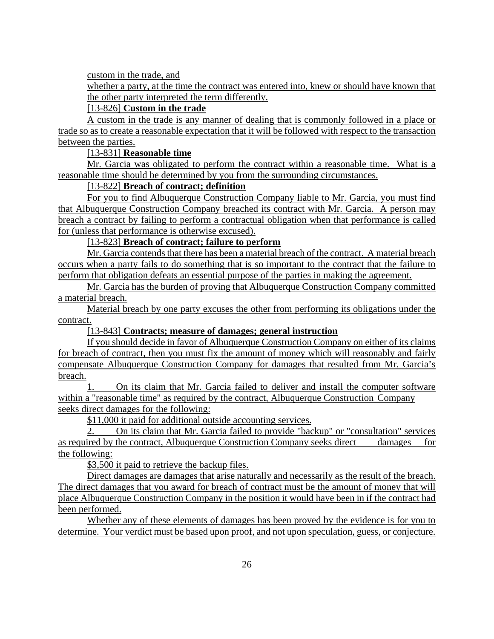custom in the trade, and

whether a party, at the time the contract was entered into, knew or should have known that the other party interpreted the term differently.

# [13-826] **Custom in the trade**

A custom in the trade is any manner of dealing that is commonly followed in a place or trade so as to create a reasonable expectation that it will be followed with respect to the transaction between the parties.

# [13-831] **Reasonable time**

Mr. Garcia was obligated to perform the contract within a reasonable time. What is a reasonable time should be determined by you from the surrounding circumstances.

# [13-822] **Breach of contract; definition**

For you to find Albuquerque Construction Company liable to Mr. Garcia, you must find that Albuquerque Construction Company breached its contract with Mr. Garcia. A person may breach a contract by failing to perform a contractual obligation when that performance is called for (unless that performance is otherwise excused).

[13-823] **Breach of contract; failure to perform**

Mr. Garcia contends that there has been a material breach of the contract. A material breach occurs when a party fails to do something that is so important to the contract that the failure to perform that obligation defeats an essential purpose of the parties in making the agreement.

Mr. Garcia has the burden of proving that Albuquerque Construction Company committed a material breach.

Material breach by one party excuses the other from performing its obligations under the contract.

# [13-843] **Contracts; measure of damages; general instruction**

If you should decide in favor of Albuquerque Construction Company on either of its claims for breach of contract, then you must fix the amount of money which will reasonably and fairly compensate Albuquerque Construction Company for damages that resulted from Mr. Garcia's breach.

1. On its claim that Mr. Garcia failed to deliver and install the computer software within a "reasonable time" as required by the contract, Albuquerque Construction Company seeks direct damages for the following:

\$11,000 it paid for additional outside accounting services.

2. On its claim that Mr. Garcia failed to provide "backup" or "consultation" services as required by the contract, Albuquerque Construction Company seeks direct damages for the following:

\$3,500 it paid to retrieve the backup files.

Direct damages are damages that arise naturally and necessarily as the result of the breach. The direct damages that you award for breach of contract must be the amount of money that will place Albuquerque Construction Company in the position it would have been in if the contract had been performed.

Whether any of these elements of damages has been proved by the evidence is for you to determine. Your verdict must be based upon proof, and not upon speculation, guess, or conjecture.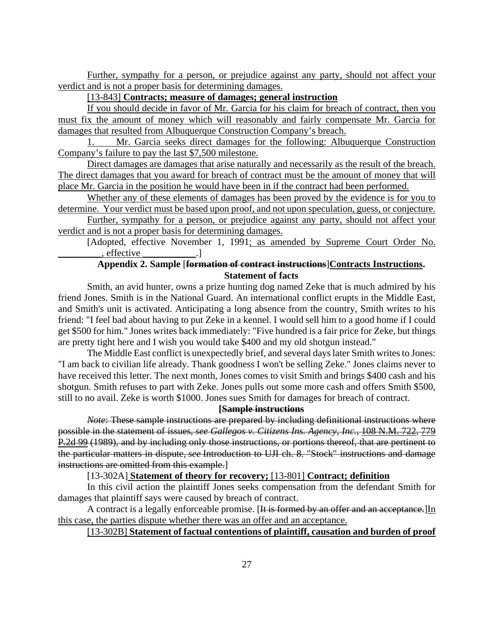Further, sympathy for a person, or prejudice against any party, should not affect your verdict and is not a proper basis for determining damages.

## [13-843] **Contracts; measure of damages; general instruction**

If you should decide in favor of Mr. Garcia for his claim for breach of contract, then you must fix the amount of money which will reasonably and fairly compensate Mr. Garcia for damages that resulted from Albuquerque Construction Company's breach.

1. Mr. Garcia seeks direct damages for the following: Albuquerque Construction Company's failure to pay the last \$7,500 milestone.

Direct damages are damages that arise naturally and necessarily as the result of the breach. The direct damages that you award for breach of contract must be the amount of money that will place Mr. Garcia in the position he would have been in if the contract had been performed.

Whether any of these elements of damages has been proved by the evidence is for you to determine. Your verdict must be based upon proof, and not upon speculation, guess, or conjecture.

Further, sympathy for a person, or prejudice against any party, should not affect your verdict and is not a proper basis for determining damages.

[Adopted, effective November 1, 1991; as amended by Supreme Court Order No.  $e$ , effective  $\qquad \qquad$ .

# **Appendix 2. Sample** [**formation of contract instructions**]**Contracts Instructions. Statement of facts**

Smith, an avid hunter, owns a prize hunting dog named Zeke that is much admired by his friend Jones. Smith is in the National Guard. An international conflict erupts in the Middle East, and Smith's unit is activated. Anticipating a long absence from the country, Smith writes to his friend: "I feel bad about having to put Zeke in a kennel. I would sell him to a good home if I could get \$500 for him." Jones writes back immediately: "Five hundred is a fair price for Zeke, but things are pretty tight here and I wish you would take \$400 and my old shotgun instead."

The Middle East conflict is unexpectedly brief, and several days later Smith writes to Jones: "I am back to civilian life already. Thank goodness I won't be selling Zeke." Jones claims never to have received this letter. The next month, Jones comes to visit Smith and brings \$400 cash and his shotgun. Smith refuses to part with Zeke. Jones pulls out some more cash and offers Smith \$500, still to no avail. Zeke is worth \$1000. Jones sues Smith for damages for breach of contract.

# **[Sample instructions**

*Note*: These sample instructions are prepared by including definitional instructions where possible in the statement of issues, *see Gallegos v. Citizens Ins. Agency, Inc.*, 108 N.M. 722, 779 P.2d 99 (1989), and by including only those instructions, or portions thereof, that are pertinent to the particular matters in dispute, *see* Introduction to UJI ch. 8. "Stock" instructions and damage instructions are omitted from this example.]

[13-302A] **Statement of theory for recovery;** [13-801] **Contract; definition**

In this civil action the plaintiff Jones seeks compensation from the defendant Smith for damages that plaintiff says were caused by breach of contract.

A contract is a legally enforceable promise. [It is formed by an offer and an acceptance.]In this case, the parties dispute whether there was an offer and an acceptance.

# [13-302B] **Statement of factual contentions of plaintiff, causation and burden of proof**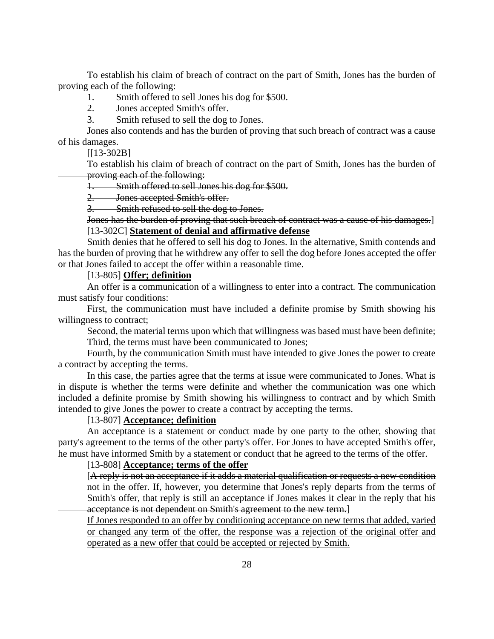To establish his claim of breach of contract on the part of Smith, Jones has the burden of proving each of the following:

1. Smith offered to sell Jones his dog for \$500.

2. Jones accepted Smith's offer.

3. Smith refused to sell the dog to Jones.

Jones also contends and has the burden of proving that such breach of contract was a cause of his damages.

 $[H3-302B]$ 

To establish his claim of breach of contract on the part of Smith, Jones has the burden of proving each of the following:

1. Smith offered to sell Jones his dog for \$500.

2. Jones accepted Smith's offer.

2. Sones accepted zumman.<br>3. Smith refused to sell the dog to Jones.

Jones has the burden of proving that such breach of contract was a cause of his damages.] [13-302C] **Statement of denial and affirmative defense**

Smith denies that he offered to sell his dog to Jones. In the alternative, Smith contends and has the burden of proving that he withdrew any offer to sell the dog before Jones accepted the offer or that Jones failed to accept the offer within a reasonable time.

# [13-805] **Offer; definition**

An offer is a communication of a willingness to enter into a contract. The communication must satisfy four conditions:

First, the communication must have included a definite promise by Smith showing his willingness to contract;

Second, the material terms upon which that willingness was based must have been definite; Third, the terms must have been communicated to Jones;

Fourth, by the communication Smith must have intended to give Jones the power to create a contract by accepting the terms.

In this case, the parties agree that the terms at issue were communicated to Jones. What is in dispute is whether the terms were definite and whether the communication was one which included a definite promise by Smith showing his willingness to contract and by which Smith intended to give Jones the power to create a contract by accepting the terms.

# [13-807] **Acceptance; definition**

An acceptance is a statement or conduct made by one party to the other, showing that party's agreement to the terms of the other party's offer. For Jones to have accepted Smith's offer, he must have informed Smith by a statement or conduct that he agreed to the terms of the offer.

### [13-808] **Acceptance; terms of the offer**

[A reply is not an acceptance if it adds a material qualification or requests a new condition not in the offer. If, however, you determine that Jones's reply departs from the terms of Smith's offer, that reply is still an acceptance if Jones makes it clear in the reply that his acceptance is not dependent on Smith's agreement to the new term.]

If Jones responded to an offer by conditioning acceptance on new terms that added, varied or changed any term of the offer, the response was a rejection of the original offer and operated as a new offer that could be accepted or rejected by Smith.